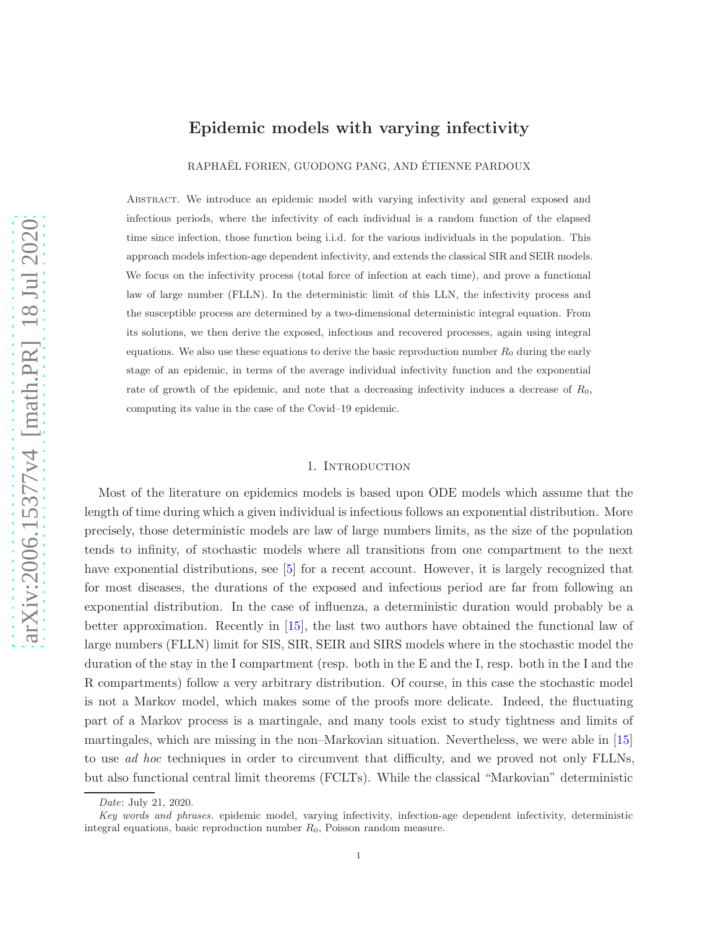# Epidemic models with varying infectivity

RAPHAËL FORIEN, GUODONG PANG, AND ÉTIENNE PARDOUX

Abstract. We introduce an epidemic model with varying infectivity and general exposed and infectious periods, where the infectivity of each individual is a random function of the elapsed time since infection, those function being i.i.d. for the various individuals in the population. This approach models infection-age dependent infectivity, and extends the classical SIR and SEIR models. We focus on the infectivity process (total force of infection at each time), and prove a functional law of large number (FLLN). In the deterministic limit of this LLN, the infectivity process and the susceptible process are determined by a two-dimensional deterministic integral equation. From its solutions, we then derive the exposed, infectious and recovered processes, again using integral equations. We also use these equations to derive the basic reproduction number  $R_0$  during the early stage of an epidemic, in terms of the average individual infectivity function and the exponential rate of growth of the epidemic, and note that a decreasing infectivity induces a decrease of  $R_0$ , computing its value in the case of the Covid–19 epidemic.

#### 1. Introduction

Most of the literature on epidemics models is based upon ODE models which assume that the length of time during which a given individual is infectious follows an exponential distribution. More precisely, those deterministic models are law of large numbers limits, as the size of the population tends to infinity, of stochastic models where all transitions from one compartment to the next have exponential distributions, see [\[5\]](#page-20-0) for a recent account. However, it is largely recognized that for most diseases, the durations of the exposed and infectious period are far from following an exponential distribution. In the case of influenza, a deterministic duration would probably be a better approximation. Recently in [\[15\]](#page-21-0), the last two authors have obtained the functional law of large numbers (FLLN) limit for SIS, SIR, SEIR and SIRS models where in the stochastic model the duration of the stay in the I compartment (resp. both in the E and the I, resp. both in the I and the R compartments) follow a very arbitrary distribution. Of course, in this case the stochastic model is not a Markov model, which makes some of the proofs more delicate. Indeed, the fluctuating part of a Markov process is a martingale, and many tools exist to study tightness and limits of martingales, which are missing in the non–Markovian situation. Nevertheless, we were able in [\[15\]](#page-21-0) to use *ad hoc* techniques in order to circumvent that difficulty, and we proved not only FLLNs, but also functional central limit theorems (FCLTs). While the classical "Markovian" deterministic

*Date*: July 21, 2020.

*Key words and phrases.* epidemic model, varying infectivity, infection-age dependent infectivity, deterministic integral equations, basic reproduction number  $R_0$ , Poisson random measure.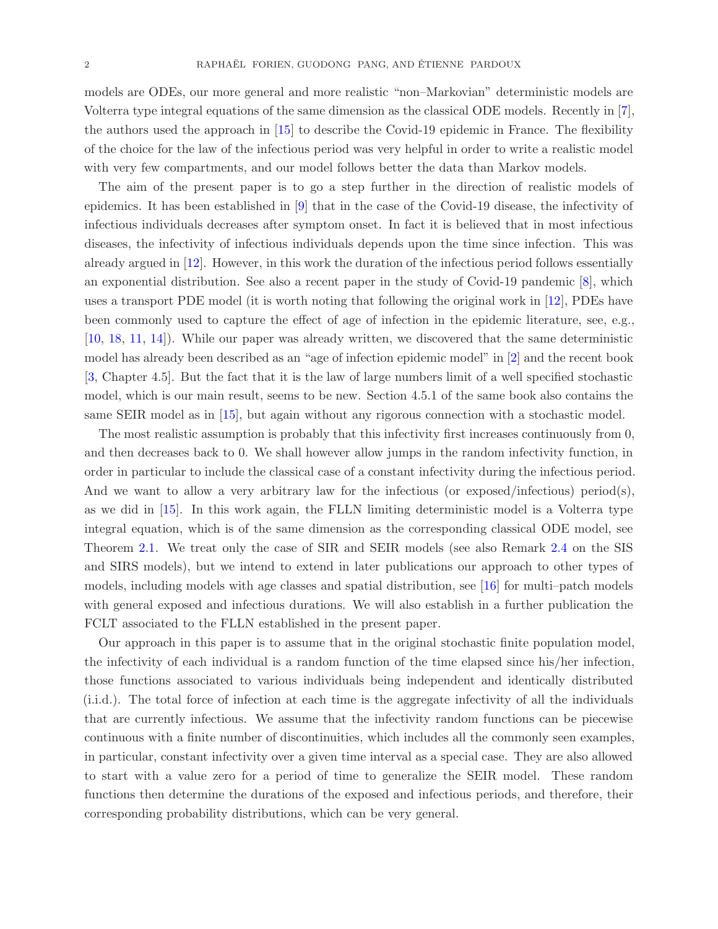models are ODEs, our more general and more realistic "non–Markovian" deterministic models are Volterra type integral equations of the same dimension as the classical ODE models. Recently in [\[7\]](#page-21-1), the authors used the approach in [\[15\]](#page-21-0) to describe the Covid-19 epidemic in France. The flexibility of the choice for the law of the infectious period was very helpful in order to write a realistic model with very few compartments, and our model follows better the data than Markov models.

The aim of the present paper is to go a step further in the direction of realistic models of epidemics. It has been established in [\[9\]](#page-21-2) that in the case of the Covid-19 disease, the infectivity of infectious individuals decreases after symptom onset. In fact it is believed that in most infectious diseases, the infectivity of infectious individuals depends upon the time since infection. This was already argued in [\[12\]](#page-21-3). However, in this work the duration of the infectious period follows essentially an exponential distribution. See also a recent paper in the study of Covid-19 pandemic [\[8\]](#page-21-4), which uses a transport PDE model (it is worth noting that following the original work in [\[12\]](#page-21-3), PDEs have been commonly used to capture the effect of age of infection in the epidemic literature, see, e.g., [\[10,](#page-21-5) [18,](#page-21-6) [11,](#page-21-7) [14\]](#page-21-8)). While our paper was already written, we discovered that the same deterministic model has already been described as an "age of infection epidemic model" in [\[2\]](#page-20-1) and the recent book [\[3,](#page-20-2) Chapter 4.5]. But the fact that it is the law of large numbers limit of a well specified stochastic model, which is our main result, seems to be new. Section 4.5.1 of the same book also contains the same SEIR model as in [\[15\]](#page-21-0), but again without any rigorous connection with a stochastic model.

The most realistic assumption is probably that this infectivity first increases continuously from 0, and then decreases back to 0. We shall however allow jumps in the random infectivity function, in order in particular to include the classical case of a constant infectivity during the infectious period. And we want to allow a very arbitrary law for the infectious (or exposed/infectious) period(s), as we did in [\[15\]](#page-21-0). In this work again, the FLLN limiting deterministic model is a Volterra type integral equation, which is of the same dimension as the corresponding classical ODE model, see Theorem [2.1.](#page-5-0) We treat only the case of SIR and SEIR models (see also Remark [2.4](#page-6-0) on the SIS and SIRS models), but we intend to extend in later publications our approach to other types of models, including models with age classes and spatial distribution, see [\[16\]](#page-21-9) for multi–patch models with general exposed and infectious durations. We will also establish in a further publication the FCLT associated to the FLLN established in the present paper.

Our approach in this paper is to assume that in the original stochastic finite population model, the infectivity of each individual is a random function of the time elapsed since his/her infection, those functions associated to various individuals being independent and identically distributed (i.i.d.). The total force of infection at each time is the aggregate infectivity of all the individuals that are currently infectious. We assume that the infectivity random functions can be piecewise continuous with a finite number of discontinuities, which includes all the commonly seen examples, in particular, constant infectivity over a given time interval as a special case. They are also allowed to start with a value zero for a period of time to generalize the SEIR model. These random functions then determine the durations of the exposed and infectious periods, and therefore, their corresponding probability distributions, which can be very general.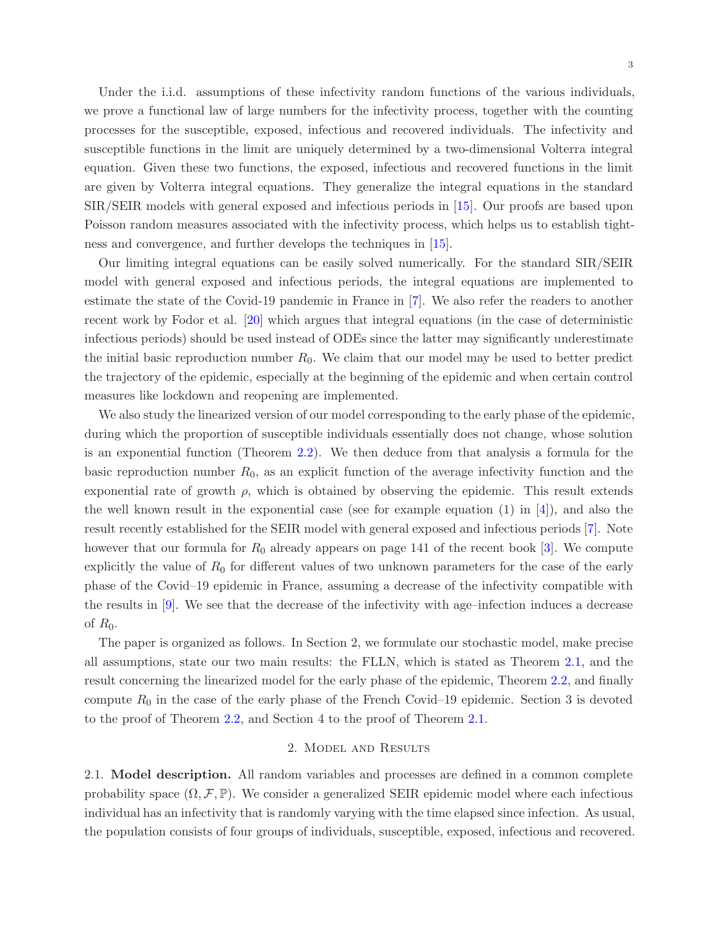Under the i.i.d. assumptions of these infectivity random functions of the various individuals, we prove a functional law of large numbers for the infectivity process, together with the counting processes for the susceptible, exposed, infectious and recovered individuals. The infectivity and susceptible functions in the limit are uniquely determined by a two-dimensional Volterra integral equation. Given these two functions, the exposed, infectious and recovered functions in the limit are given by Volterra integral equations. They generalize the integral equations in the standard SIR/SEIR models with general exposed and infectious periods in [\[15\]](#page-21-0). Our proofs are based upon Poisson random measures associated with the infectivity process, which helps us to establish tightness and convergence, and further develops the techniques in [\[15\]](#page-21-0).

Our limiting integral equations can be easily solved numerically. For the standard SIR/SEIR model with general exposed and infectious periods, the integral equations are implemented to estimate the state of the Covid-19 pandemic in France in [\[7\]](#page-21-1). We also refer the readers to another recent work by Fodor et al. [\[20\]](#page-21-10) which argues that integral equations (in the case of deterministic infectious periods) should be used instead of ODEs since the latter may significantly underestimate the initial basic reproduction number  $R_0$ . We claim that our model may be used to better predict the trajectory of the epidemic, especially at the beginning of the epidemic and when certain control measures like lockdown and reopening are implemented.

We also study the linearized version of our model corresponding to the early phase of the epidemic, during which the proportion of susceptible individuals essentially does not change, whose solution is an exponential function (Theorem [2.2\)](#page-9-0). We then deduce from that analysis a formula for the basic reproduction number  $R_0$ , as an explicit function of the average infectivity function and the exponential rate of growth  $\rho$ , which is obtained by observing the epidemic. This result extends the well known result in the exponential case (see for example equation  $(1)$  in  $[4]$ ), and also the result recently established for the SEIR model with general exposed and infectious periods [\[7\]](#page-21-1). Note however that our formula for  $R_0$  already appears on page 141 of the recent book [\[3\]](#page-20-2). We compute explicitly the value of  $R_0$  for different values of two unknown parameters for the case of the early phase of the Covid–19 epidemic in France, assuming a decrease of the infectivity compatible with the results in [\[9\]](#page-21-2). We see that the decrease of the infectivity with age–infection induces a decrease of  $R_0$ .

The paper is organized as follows. In Section 2, we formulate our stochastic model, make precise all assumptions, state our two main results: the FLLN, which is stated as Theorem [2.1,](#page-5-0) and the result concerning the linearized model for the early phase of the epidemic, Theorem [2.2,](#page-9-0) and finally compute  $R_0$  in the case of the early phase of the French Covid–19 epidemic. Section 3 is devoted to the proof of Theorem [2.2,](#page-9-0) and Section 4 to the proof of Theorem [2.1.](#page-5-0)

### 2. Model and Results

2.1. Model description. All random variables and processes are defined in a common complete probability space  $(\Omega, \mathcal{F}, \mathbb{P})$ . We consider a generalized SEIR epidemic model where each infectious individual has an infectivity that is randomly varying with the time elapsed since infection. As usual, the population consists of four groups of individuals, susceptible, exposed, infectious and recovered.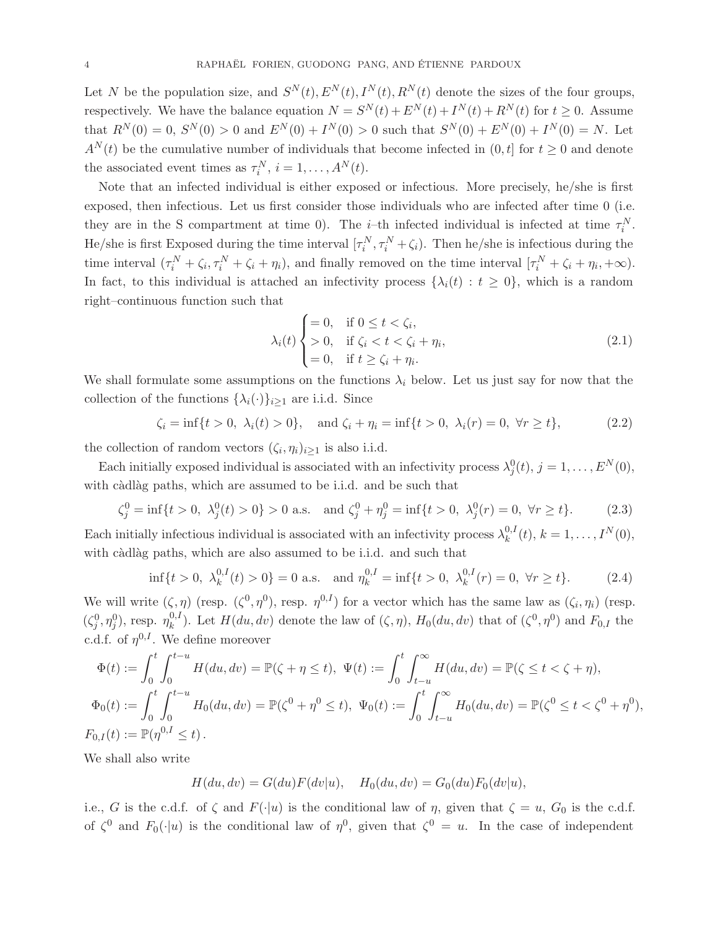Let N be the population size, and  $S^{N}(t)$ ,  $E^{N}(t)$ ,  $I^{N}(t)$ ,  $R^{N}(t)$  denote the sizes of the four groups, respectively. We have the balance equation  $N = S^{N}(t) + E^{N}(t) + I^{N}(t) + R^{N}(t)$  for  $t \ge 0$ . Assume that  $R^{N}(0) = 0$ ,  $S^{N}(0) > 0$  and  $E^{N}(0) + I^{N}(0) > 0$  such that  $S^{N}(0) + E^{N}(0) + I^{N}(0) = N$ . Let  $A^{N}(t)$  be the cumulative number of individuals that become infected in  $(0, t]$  for  $t \geq 0$  and denote the associated event times as  $\tau_i^N$ ,  $i = 1, ..., A^N(t)$ .

Note that an infected individual is either exposed or infectious. More precisely, he/she is first exposed, then infectious. Let us first consider those individuals who are infected after time 0 (i.e. they are in the S compartment at time 0). The *i*-th infected individual is infected at time  $\tau_i^N$ . He/she is first Exposed during the time interval  $[\tau_i^N, \tau_i^N + \zeta_i]$ . Then he/she is infectious during the time interval  $(\tau_i^N + \zeta_i, \tau_i^N + \zeta_i + \eta_i)$ , and finally removed on the time interval  $[\tau_i^N + \zeta_i + \eta_i, +\infty)$ . In fact, to this individual is attached an infectivity process  $\{\lambda_i(t): t \geq 0\}$ , which is a random right–continuous function such that

<span id="page-3-0"></span>
$$
\lambda_i(t) \begin{cases} = 0, & \text{if } 0 \le t < \zeta_i, \\ > 0, & \text{if } \zeta_i < t < \zeta_i + \eta_i, \\ = 0, & \text{if } t \ge \zeta_i + \eta_i. \end{cases} \tag{2.1}
$$

We shall formulate some assumptions on the functions  $\lambda_i$  below. Let us just say for now that the collection of the functions  $\{\lambda_i(\cdot)\}_{i\geq 1}$  are i.i.d. Since

<span id="page-3-1"></span>
$$
\zeta_i = \inf\{t > 0, \ \lambda_i(t) > 0\}, \quad \text{and } \zeta_i + \eta_i = \inf\{t > 0, \ \lambda_i(r) = 0, \ \forall r \ge t\},\tag{2.2}
$$

the collection of random vectors  $(\zeta_i, \eta_i)_{i \geq 1}$  is also i.i.d.

Each initially exposed individual is associated with an infectivity process  $\lambda_j^0(t)$ ,  $j = 1, \ldots, E^N(0)$ , with càdlàg paths, which are assumed to be i.i.d. and be such that

<span id="page-3-2"></span>
$$
\zeta_j^0 = \inf\{t > 0, \ \lambda_j^0(t) > 0\} > 0 \text{ a.s.} \quad \text{and } \zeta_j^0 + \eta_j^0 = \inf\{t > 0, \ \lambda_j^0(r) = 0, \ \forall r \ge t\}. \tag{2.3}
$$

Each initially infectious individual is associated with an infectivity process  $\lambda_k^{0,l}$  $_{k}^{0,I}(t), k = 1, \ldots, I^{N}(0),$ with càdlàg paths, which are also assumed to be i.i.d. and such that

<span id="page-3-3"></span>
$$
\inf\{t>0, \lambda_k^{0,I}(t)>0\} = 0 \text{ a.s.} \quad \text{and } \eta_k^{0,I} = \inf\{t>0, \lambda_k^{0,I}(r)=0, \forall r \ge t\}. \tag{2.4}
$$

We will write  $(\zeta, \eta)$  (resp.  $(\zeta^0, \eta^0)$ , resp.  $\eta^{0,I}$ ) for a vector which has the same law as  $(\zeta_i, \eta_i)$  (resp.  $(\zeta_j^0, \eta_j^0)$ , resp.  $\eta_k^{0,1}$ <sup>0,*l*</sup>). Let  $H(du, dv)$  denote the law of  $(\zeta, \eta)$ ,  $H_0(du, dv)$  that of  $(\zeta^0, \eta^0)$  and  $F_{0,I}$  the c.d.f. of  $\eta^{0,I}$ . We define moreover

$$
\Phi(t) := \int_0^t \int_0^{t-u} H(du, dv) = \mathbb{P}(\zeta + \eta \le t), \ \Psi(t) := \int_0^t \int_{t-u}^{\infty} H(du, dv) = \mathbb{P}(\zeta \le t < \zeta + \eta),
$$
\n
$$
\Phi_0(t) := \int_0^t \int_0^{t-u} H_0(du, dv) = \mathbb{P}(\zeta^0 + \eta^0 \le t), \ \Psi_0(t) := \int_0^t \int_{t-u}^{\infty} H_0(du, dv) = \mathbb{P}(\zeta^0 \le t < \zeta^0 + \eta^0),
$$
\n
$$
F_{0,I}(t) := \mathbb{P}(\eta^{0,I} \le t).
$$

We shall also write

$$
H(du, dv) = G(du)F(dv|u), \quad H_0(du, dv) = G_0(du)F_0(dv|u),
$$

i.e., G is the c.d.f. of  $\zeta$  and  $F(\cdot|u)$  is the conditional law of  $\eta$ , given that  $\zeta = u$ ,  $G_0$  is the c.d.f. of  $\zeta^0$  and  $F_0(\cdot|u)$  is the conditional law of  $\eta^0$ , given that  $\zeta^0 = u$ . In the case of independent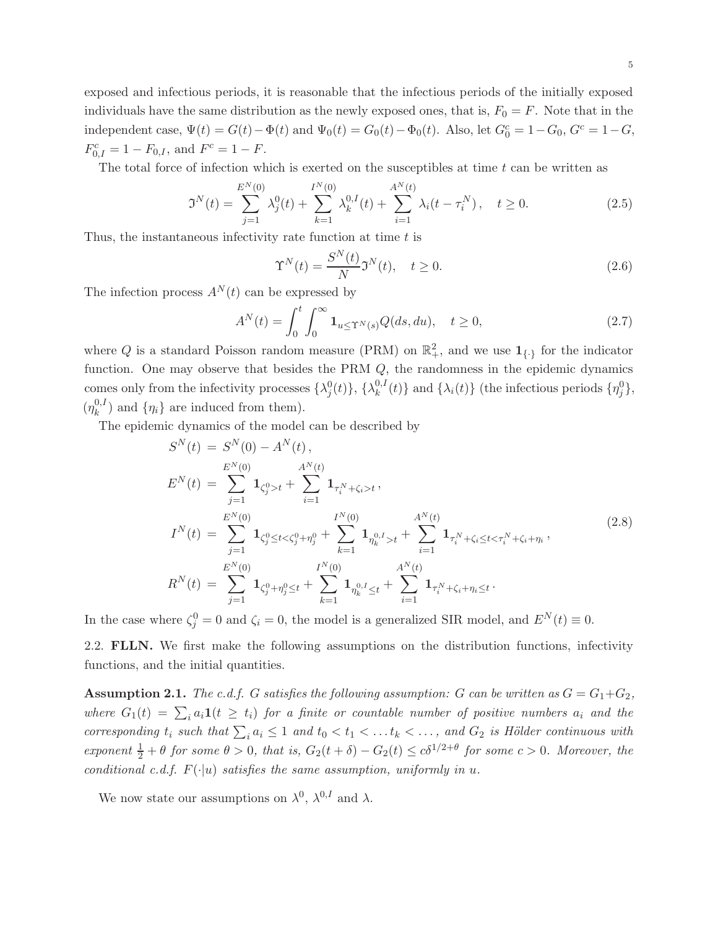exposed and infectious periods, it is reasonable that the infectious periods of the initially exposed individuals have the same distribution as the newly exposed ones, that is,  $F_0 = F$ . Note that in the independent case,  $\Psi(t) = G(t) - \Phi(t)$  and  $\Psi_0(t) = G_0(t) - \Phi_0(t)$ . Also, let  $G_0^c = 1 - G_0$ ,  $G^c = 1 - G$ ,  $F_{0,I}^c = 1 - F_{0,I}$ , and  $F^c = 1 - F$ .

The total force of infection which is exerted on the susceptibles at time  $t$  can be written as

$$
\mathfrak{I}^{N}(t) = \sum_{j=1}^{E^{N}(0)} \lambda_{j}^{0}(t) + \sum_{k=1}^{I^{N}(0)} \lambda_{k}^{0,I}(t) + \sum_{i=1}^{A^{N}(t)} \lambda_{i}(t - \tau_{i}^{N}), \quad t \ge 0.
$$
 (2.5)

Thus, the instantaneous infectivity rate function at time  $t$  is

$$
\Upsilon^{N}(t) = \frac{S^{N}(t)}{N} \mathfrak{I}^{N}(t), \quad t \ge 0.
$$
\n(2.6)

The infection process  $A^{N}(t)$  can be expressed by

$$
A^{N}(t) = \int_{0}^{t} \int_{0}^{\infty} \mathbf{1}_{u \leq \Upsilon^{N}(s)} Q(ds, du), \quad t \geq 0,
$$
\n(2.7)

where Q is a standard Poisson random measure (PRM) on  $\mathbb{R}^2_+$ , and we use  $\mathbf{1}_{\{\cdot\}}$  for the indicator function. One may observe that besides the PRM Q, the randomness in the epidemic dynamics comes only from the infectivity processes  $\{\lambda_j^0(t)\},\,\{\lambda_k^{0,I}\}$  $\{h_k^{0,I}(t)\}\$  and  $\{\lambda_i(t)\}\$  (the infectious periods  $\{\eta_j^0\},\$  $(\eta_k^{0,I}$  $\binom{0,1}{k}$  and  $\{\eta_i\}$  are induced from them).

The epidemic dynamics of the model can be described by

$$
S^{N}(t) = S^{N}(0) - A^{N}(t),
$$
  
\n
$$
E^{N}(t) = \sum_{j=1}^{E^{N}(0)} \mathbf{1}_{\zeta_{j}^{0} > t} + \sum_{i=1}^{A^{N}(t)} \mathbf{1}_{\tau_{i}^{N} + \zeta_{i} > t},
$$
  
\n
$$
I^{N}(t) = \sum_{j=1}^{E^{N}(0)} \mathbf{1}_{\zeta_{j}^{0} \le t < \zeta_{j}^{0} + \eta_{j}^{0}} + \sum_{k=1}^{I^{N}(0)} \mathbf{1}_{\eta_{k}^{0,I} > t} + \sum_{i=1}^{A^{N}(t)} \mathbf{1}_{\tau_{i}^{N} + \zeta_{i} \le t < \tau_{i}^{N} + \zeta_{i} + \eta_{i}},
$$
  
\n
$$
R^{N}(t) = \sum_{j=1}^{E^{N}(0)} \mathbf{1}_{\zeta_{j}^{0} + \eta_{j}^{0} \le t} + \sum_{k=1}^{I^{N}(0)} \mathbf{1}_{\eta_{k}^{0,I} \le t} + \sum_{i=1}^{A^{N}(t)} \mathbf{1}_{\tau_{i}^{N} + \zeta_{i} + \eta_{i} \le t}.
$$
\n(2.8)

In the case where  $\zeta_j^0 = 0$  and  $\zeta_i = 0$ , the model is a generalized SIR model, and  $E^N(t) \equiv 0$ .

2.2. FLLN. We first make the following assumptions on the distribution functions, infectivity functions, and the initial quantities.

<span id="page-4-0"></span>**Assumption 2.1.** *The c.d.f. G satisfies the following assumption: G can be written as*  $G = G_1 + G_2$ *,* where  $G_1(t) = \sum_i a_i \mathbf{1}(t \geq t_i)$  for a finite or countable number of positive numbers  $a_i$  and the *corresponding*  $t_i$  *such that*  $\sum_i a_i \leq 1$  *and*  $t_0 < t_1 < \ldots t_k < \ldots$ , *and*  $G_2$  *is Hölder continuous with*  $exponent \frac{1}{2} + \theta$  *for some*  $\theta > 0$ *, that is,*  $G_2(t + \delta) - G_2(t) \le c\delta^{1/2+\theta}$  *for some*  $c > 0$ *. Moreover, the conditional c.d.f.*  $F(\cdot|u)$  *satisfies the same assumption, uniformly in u.* 

We now state our assumptions on  $\lambda^0$ ,  $\lambda^{0,I}$  and  $\lambda$ .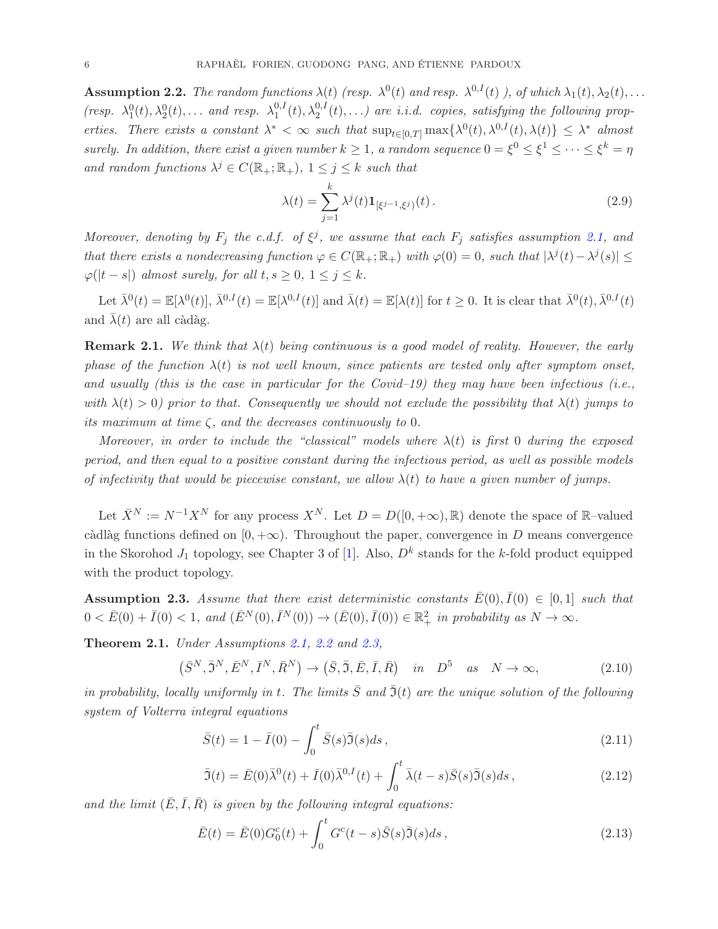<span id="page-5-1"></span>**Assumption 2.2.** *The random functions*  $\lambda(t)$  *(resp.*  $\lambda^{0}(t)$  *and resp.*  $\lambda^{0,I}(t)$  *), of which*  $\lambda_1(t), \lambda_2(t), \ldots$ *(resp.*  $\lambda_1^0(t), \lambda_2^0(t), \ldots$  *and resp.*  $\lambda_1^{0,1}$  $t_1^{0,I}(t), \lambda_2^{0,I}(t), \ldots$ ) are *i.i.d.* copies, satisfying the following prop*erties. There exists a constant*  $\lambda^* < \infty$  *such that*  $\sup_{t \in [0,T]} \max\{\lambda^0(t), \lambda^{0,I}(t), \lambda(t)\} \leq \lambda^*$  *almost surely.* In addition, there exist a given number  $k \geq 1$ , a random sequence  $0 = \xi^0 \leq \xi^1 \leq \cdots \leq \xi^k = \eta$ and random functions  $\lambda^j \in C(\mathbb{R}_+;\mathbb{R}_+), 1 \leq j \leq k$  such that

$$
\lambda(t) = \sum_{j=1}^{k} \lambda^{j}(t) \mathbf{1}_{[\xi^{j-1}, \xi^{j})}(t).
$$
\n(2.9)

*Moreover, denoting by*  $F_j$  *the c.d.f. of*  $\xi^j$ *, we assume that each*  $F_j$  *satisfies assumption* [2.1,](#page-4-0) and *that there exists a nondecreasing function*  $\varphi \in C(\mathbb{R}_+;\mathbb{R}_+)$  *with*  $\varphi(0) = 0$ *, such that*  $|\lambda^{j}(t) - \lambda^{j}(s)| \leq$  $\varphi(|t-s|)$  *almost surely, for all*  $t, s \geq 0, 1 \leq j \leq k$ .

Let  $\bar{\lambda}^0(t) = \mathbb{E}[\lambda^0(t)], \bar{\lambda}^{0,I}(t) = \mathbb{E}[\lambda^{0,I}(t)]$  and  $\bar{\lambda}(t) = \mathbb{E}[\lambda(t)]$  for  $t \geq 0$ . It is clear that  $\bar{\lambda}^0(t), \bar{\lambda}^{0,I}(t)$ and  $\lambda(t)$  are all càdàg.

**Remark 2.1.** We think that  $\lambda(t)$  being continuous is a good model of reality. However, the early *phase of the function*  $\lambda(t)$  *is not well known, since patients are tested only after symptom onset, and usually (this is the case in particular for the Covid–19) they may have been infectious (i.e., with*  $\lambda(t) > 0$  *prior to that. Consequently we should not exclude the possibility that*  $\lambda(t)$  *jumps to its maximum at time* ζ*, and the decreases continuously to* 0*.*

*Moreover, in order to include the "classical" models where*  $\lambda(t)$  *is first* 0 *during the exposed period, and then equal to a positive constant during the infectious period, as well as possible models of infectivity that would be piecewise constant, we allow*  $\lambda(t)$  *to have a given number of jumps.* 

Let  $\bar{X}^N := N^{-1}X^N$  for any process  $X^N$ . Let  $D = D([0, +\infty), \mathbb{R})$  denote the space of  $\mathbb{R}$ -valued càdlàg functions defined on [0, + $\infty$ ). Throughout the paper, convergence in D means convergence in the Skorohod  $J_1$  topology, see Chapter 3 of [\[1\]](#page-20-4). Also,  $D<sup>k</sup>$  stands for the k-fold product equipped with the product topology.

<span id="page-5-2"></span>**Assumption 2.3.** Assume that there exist deterministic constants  $\bar{E}(0), \bar{I}(0) \in [0,1]$  such that  $0 < \bar{E}(0) + \bar{I}(0) < 1$ , and  $(\bar{E}^N(0), \bar{I}^N(0)) \to (\bar{E}(0), \bar{I}(0)) \in \mathbb{R}^2_+$  in probability as  $N \to \infty$ .

<span id="page-5-0"></span>Theorem 2.1. *Under Assumptions [2.1,](#page-4-0) [2.2](#page-5-1) and [2.3,](#page-5-2)*

 $(\bar{S}^N, \bar{S}^N, \bar{E}^N, \bar{I}^N, \bar{R}^N) \to (\bar{S}, \bar{S}, \bar{E}, \bar{I}, \bar{R}) \text{ in } D^5 \text{ as } N \to \infty,$  (2.10)

*in probability, locally uniformly in* t. The limits  $\overline{S}$  and  $\overline{S}(t)$  are the unique solution of the following *system of Volterra integral equations*

<span id="page-5-3"></span>
$$
\bar{S}(t) = 1 - \bar{I}(0) - \int_0^t \bar{S}(s)\bar{\mathfrak{I}}(s)ds , \qquad (2.11)
$$

<span id="page-5-4"></span>
$$
\bar{\mathfrak{I}}(t) = \bar{E}(0)\bar{\lambda}^0(t) + \bar{I}(0)\bar{\lambda}^{0,I}(t) + \int_0^t \bar{\lambda}(t-s)\bar{S}(s)\bar{\mathfrak{I}}(s)ds,
$$
\n(2.12)

and the limit  $(E, \bar{I}, \bar{R})$  *is given by the following integral equations:* 

$$
\bar{E}(t) = \bar{E}(0)G_0^c(t) + \int_0^t G^c(t-s)\bar{S}(s)\bar{S}(s)ds,
$$
\n(2.13)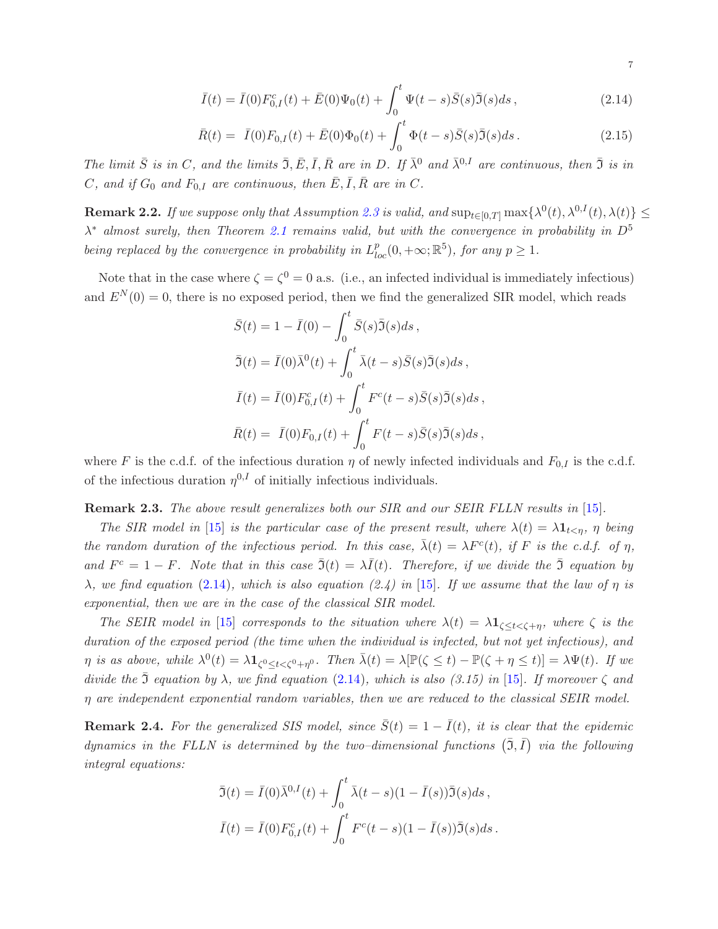<span id="page-6-1"></span>
$$
\bar{I}(t) = \bar{I}(0)F_{0,I}^{c}(t) + \bar{E}(0)\Psi_{0}(t) + \int_{0}^{t} \Psi(t-s)\bar{S}(s)\bar{\Im}(s)ds, \qquad (2.14)
$$

$$
\bar{R}(t) = \bar{I}(0)F_{0,I}(t) + \bar{E}(0)\Phi_0(t) + \int_0^t \Phi(t-s)\bar{S}(s)\bar{\mathfrak{I}}(s)ds.
$$
\n(2.15)

*The limit*  $\bar{S}$  *is in* C, and the limits  $\bar{S}$ ,  $\bar{E}$ ,  $\bar{I}$ ,  $\bar{R}$  are *in* D. If  $\bar{\lambda}^0$  *and*  $\bar{\lambda}^{0,I}$  *are continuous, then*  $\bar{S}$  *is in*  $C$ , and if  $G_0$  and  $F_{0,I}$  are continuous, then  $\overline{E}, \overline{I}, \overline{R}$  are in  $C$ .

 $\bf{Remark 2.2.}$  *If we suppose only that Assumption [2.3](#page-5-2) is valid, and*  $\sup_{t\in[0,T]}\max\{\lambda^0(t),\lambda^{0,I}(t),\lambda(t)\}\leq\frac{1}{2}$  $\lambda^*$  almost surely, then Theorem [2.1](#page-5-0) remains valid, but with the convergence in probability in  $D^5$ *being replaced by the convergence in probability in*  $L_{loc}^p(0, +\infty; \mathbb{R}^5)$ *, for any*  $p \geq 1$ *.* 

Note that in the case where  $\zeta = \zeta^0 = 0$  a.s. (i.e., an infected individual is immediately infectious) and  $E^{N}(0) = 0$ , there is no exposed period, then we find the generalized SIR model, which reads

$$
\bar{S}(t) = 1 - \bar{I}(0) - \int_0^t \bar{S}(s)\bar{J}(s)ds,
$$
  
\n
$$
\bar{J}(t) = \bar{I}(0)\bar{\lambda}^0(t) + \int_0^t \bar{\lambda}(t-s)\bar{S}(s)\bar{J}(s)ds,
$$
  
\n
$$
\bar{I}(t) = \bar{I}(0)F_{0,I}^c(t) + \int_0^t F^c(t-s)\bar{S}(s)\bar{J}(s)ds,
$$
  
\n
$$
\bar{R}(t) = \bar{I}(0)F_{0,I}(t) + \int_0^t F(t-s)\bar{S}(s)\bar{J}(s)ds,
$$

where F is the c.d.f. of the infectious duration  $\eta$  of newly infected individuals and  $F_{0,I}$  is the c.d.f. of the infectious duration  $\eta^{0,I}$  of initially infectious individuals.

Remark 2.3. The above result generalizes both our SIR and our SEIR FLLN results in [\[15\]](#page-21-0).

*The SIR model in* [\[15\]](#page-21-0) *is the particular case of the present result, where*  $\lambda(t) = \lambda \mathbf{1}_{t \leq \eta}$ ,  $\eta$  *being the random duration of the infectious period. In this case,*  $\bar{\lambda}(t) = \lambda F^{c}(t)$ , *if* F *is the c.d.f. of*  $\eta$ , and  $F^c = 1 - F$ . Note that in this case  $\bar{J}(t) = \lambda \bar{I}(t)$ . Therefore, if we divide the  $\bar{J}$  equation by  $\lambda$ *, we find equation* [\(2.14\)](#page-6-1)*, which is also equation* (2.4) in [\[15\]](#page-21-0)*. If we assume that the law of*  $\eta$  *is exponential, then we are in the case of the classical SIR model.*

*The SEIR model in* [\[15\]](#page-21-0) *corresponds to the situation where*  $\lambda(t) = \lambda \mathbf{1}_{\zeta \le t \le \zeta + \eta}$ *, where*  $\zeta$  *is the duration of the exposed period (the time when the individual is infected, but not yet infectious), and*  $\eta$  is as above, while  $\lambda^0(t) = \lambda \mathbf{1}_{\zeta^0 \le t < \zeta^0 + \eta^0}$ . Then  $\bar{\lambda}(t) = \lambda [\mathbb{P}(\zeta \le t) - \mathbb{P}(\zeta + \eta \le t)] = \lambda \Psi(t)$ . If we *divide the*  $\Im$  *equation by*  $\lambda$ *, we find equation* [\(2.14\)](#page-6-1)*, which is also (3.15) in* [\[15\]](#page-21-0)*. If moreover*  $\zeta$  *and* η *are independent exponential random variables, then we are reduced to the classical SEIR model.*

<span id="page-6-0"></span>**Remark 2.4.** For the generalized SIS model, since  $\bar{S}(t) = 1 - \bar{I}(t)$ , it is clear that the epidemic dynamics in the FLLN is determined by the two-dimensional functions  $(\bar{3}, \bar{I})$  via the following *integral equations:*

$$
\bar{\mathfrak{I}}(t) = \bar{I}(0)\bar{\lambda}^{0,I}(t) + \int_0^t \bar{\lambda}(t-s)(1-\bar{I}(s))\bar{\mathfrak{I}}(s)ds,
$$
  

$$
\bar{I}(t) = \bar{I}(0)F_{0,I}^c(t) + \int_0^t F^c(t-s)(1-\bar{I}(s))\bar{\mathfrak{I}}(s)ds.
$$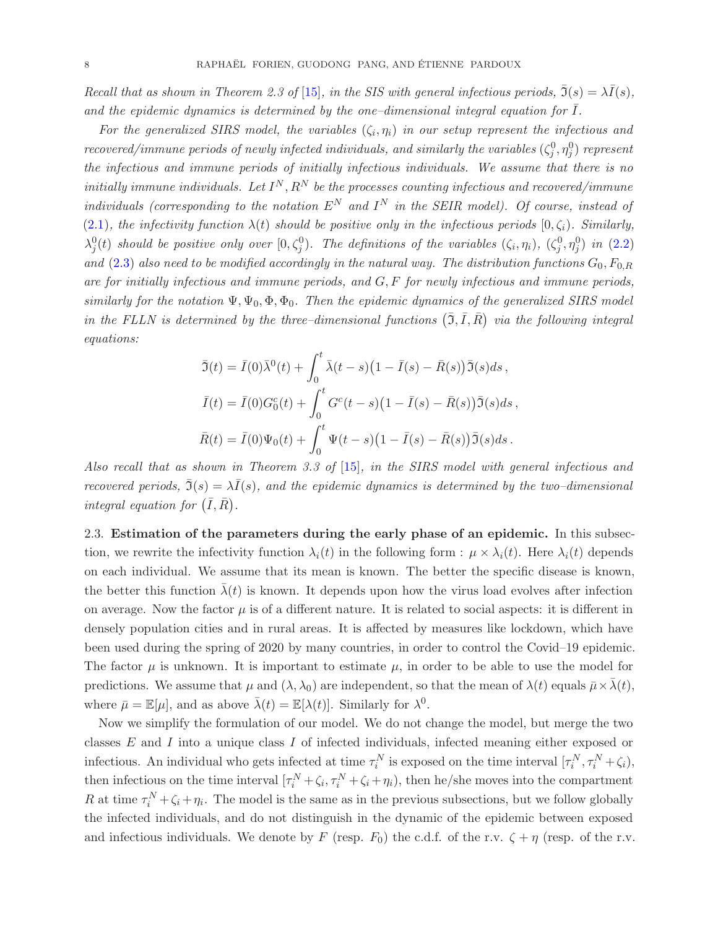*Recall that as shown in Theorem 2.3 of* [\[15\]](#page-21-0)*, in the SIS with general infectious periods,*  $\overline{\mathfrak{I}}(s) = \lambda \overline{I}(s)$ *,* and the epidemic dynamics is determined by the one-dimensional integral equation for I.

For the generalized SIRS model, the variables  $(\zeta_i, \eta_i)$  in our setup represent the infectious and  $recovered/immune\ periods\ of\ newly\ infected\ individuals,\ and\ similarly\ the\ variables\ (\zeta_j^0, \eta_j^0)\ represent$ *the infectious and immune periods of initially infectious individuals. We assume that there is no*  $initially\; immune\; individuals.\; Let\; I^N, R^N\; be\; the\; processes\; counting\; infectious\; and\; recovered/immune$ *individuals (corresponding to the notation*  $E^N$  *and*  $I^N$  *in the SEIR model). Of course, instead of* [\(2.1\)](#page-3-0), the infectivity function  $\lambda(t)$  should be positive only in the infectious periods  $[0,\zeta_i)$ *. Similarly,*  $\lambda_j^0(t)$  should be positive only over  $[0,\zeta_j^0)$ . The definitions of the variables  $(\zeta_i,\eta_i)$ ,  $(\zeta_j^0,\eta_j^0)$  in  $(2.2)$ and  $(2.3)$  also need to be modified accordingly in the natural way. The distribution functions  $G_0, F_{0,R}$ *are for initially infectious and immune periods, and* G, F *for newly infectious and immune periods, similarly for the notation*  $\Psi, \Psi_0, \Phi, \Phi_0$ . Then the epidemic dynamics of the generalized SIRS model *in the FLLN is determined by the three–dimensional functions*  $(\bar{3}, \bar{I}, \bar{R})$  *via the following integral equations:*

$$
\bar{\mathfrak{I}}(t) = \bar{I}(0)\bar{\lambda}^{0}(t) + \int_{0}^{t} \bar{\lambda}(t-s)\big(1-\bar{I}(s)-\bar{R}(s)\big)\bar{\mathfrak{I}}(s)ds,
$$
\n
$$
\bar{I}(t) = \bar{I}(0)G_{0}^{c}(t) + \int_{0}^{t} G^{c}(t-s)\big(1-\bar{I}(s)-\bar{R}(s)\big)\bar{\mathfrak{I}}(s)ds,
$$
\n
$$
\bar{R}(t) = \bar{I}(0)\Psi_{0}(t) + \int_{0}^{t} \Psi(t-s)\big(1-\bar{I}(s)-\bar{R}(s)\big)\bar{\mathfrak{I}}(s)ds.
$$

*Also recall that as shown in Theorem 3.3 of* [\[15\]](#page-21-0)*, in the SIRS model with general infectious and recovered periods,*  $\tilde{J}(s) = \lambda \overline{I}(s)$ *, and the epidemic dynamics is determined by the two–dimensional integral equation for*  $(\bar{I}, \bar{R})$ .

2.3. Estimation of the parameters during the early phase of an epidemic. In this subsection, we rewrite the infectivity function  $\lambda_i(t)$  in the following form :  $\mu \times \lambda_i(t)$ . Here  $\lambda_i(t)$  depends on each individual. We assume that its mean is known. The better the specific disease is known, the better this function  $\lambda(t)$  is known. It depends upon how the virus load evolves after infection on average. Now the factor  $\mu$  is of a different nature. It is related to social aspects: it is different in densely population cities and in rural areas. It is affected by measures like lockdown, which have been used during the spring of 2020 by many countries, in order to control the Covid–19 epidemic. The factor  $\mu$  is unknown. It is important to estimate  $\mu$ , in order to be able to use the model for predictions. We assume that  $\mu$  and  $(\lambda, \lambda_0)$  are independent, so that the mean of  $\lambda(t)$  equals  $\bar{\mu} \times \lambda(t)$ , where  $\bar{\mu} = \mathbb{E}[\mu]$ , and as above  $\bar{\lambda}(t) = \mathbb{E}[\lambda(t)]$ . Similarly for  $\lambda^0$ .

Now we simplify the formulation of our model. We do not change the model, but merge the two classes  $E$  and  $I$  into a unique class  $I$  of infected individuals, infected meaning either exposed or infectious. An individual who gets infected at time  $\tau_i^N$  is exposed on the time interval  $[\tau_i^N, \tau_i^N + \zeta_i]$ , then infectious on the time interval  $[\tau_i^N + \zeta_i, \tau_i^N + \zeta_i + \eta_i]$ , then he/she moves into the compartment R at time  $\tau_i^N + \zeta_i + \eta_i$ . The model is the same as in the previous subsections, but we follow globally the infected individuals, and do not distinguish in the dynamic of the epidemic between exposed and infectious individuals. We denote by F (resp.  $F_0$ ) the c.d.f. of the r.v.  $\zeta + \eta$  (resp. of the r.v.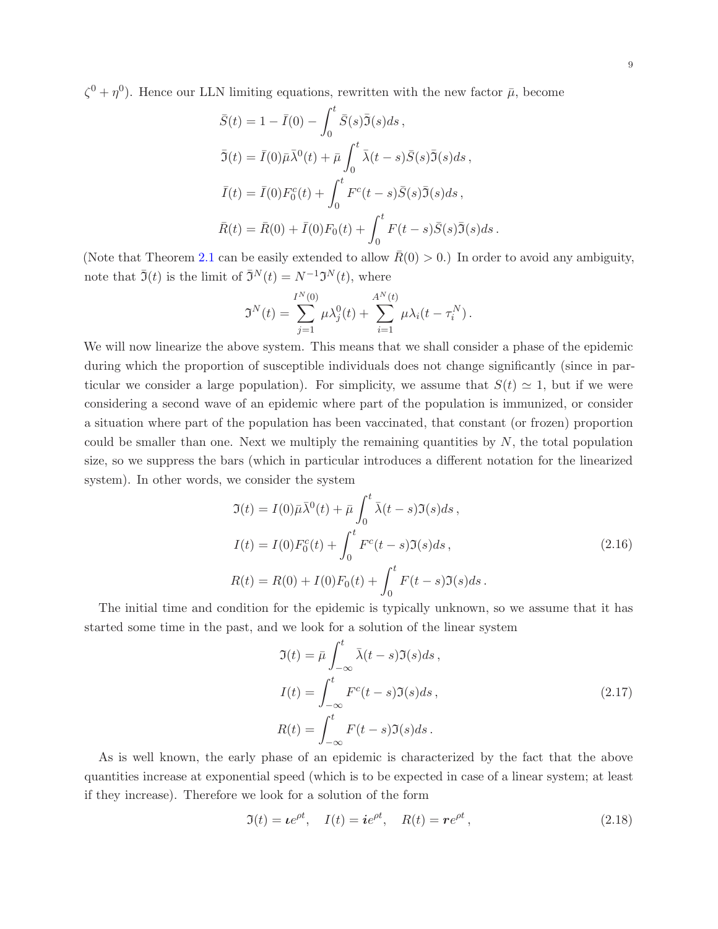$\zeta^0 + \eta^0$ ). Hence our LLN limiting equations, rewritten with the new factor  $\bar{\mu}$ , become

$$
\bar{S}(t) = 1 - \bar{I}(0) - \int_0^t \bar{S}(s)\bar{J}(s)ds,
$$
  
\n
$$
\bar{J}(t) = \bar{I}(0)\bar{\mu}\bar{\lambda}^0(t) + \bar{\mu}\int_0^t \bar{\lambda}(t-s)\bar{S}(s)\bar{J}(s)ds,
$$
  
\n
$$
\bar{I}(t) = \bar{I}(0)F_0^c(t) + \int_0^t F^c(t-s)\bar{S}(s)\bar{J}(s)ds,
$$
  
\n
$$
\bar{R}(t) = \bar{R}(0) + \bar{I}(0)F_0(t) + \int_0^t F(t-s)\bar{S}(s)\bar{J}(s)ds.
$$

(Note that Theorem [2.1](#page-5-0) can be easily extended to allow  $\bar{R}(0) > 0$ .) In order to avoid any ambiguity, note that  $\bar{J}(t)$  is the limit of  $\bar{J}^N(t) = N^{-1} \mathcal{J}^N(t)$ , where

$$
\mathfrak{I}^{N}(t) = \sum_{j=1}^{I^{N}(0)} \mu \lambda_{j}^{0}(t) + \sum_{i=1}^{A^{N}(t)} \mu \lambda_{i}(t - \tau_{i}^{N}).
$$

We will now linearize the above system. This means that we shall consider a phase of the epidemic during which the proportion of susceptible individuals does not change significantly (since in particular we consider a large population). For simplicity, we assume that  $S(t) \simeq 1$ , but if we were considering a second wave of an epidemic where part of the population is immunized, or consider a situation where part of the population has been vaccinated, that constant (or frozen) proportion could be smaller than one. Next we multiply the remaining quantities by  $N$ , the total population size, so we suppress the bars (which in particular introduces a different notation for the linearized system). In other words, we consider the system

$$
\mathfrak{I}(t) = I(0)\bar{\mu}\bar{\lambda}^{0}(t) + \bar{\mu}\int_{0}^{t} \bar{\lambda}(t-s)\mathfrak{I}(s)ds ,
$$
  
\n
$$
I(t) = I(0)F_{0}^{c}(t) + \int_{0}^{t} F^{c}(t-s)\mathfrak{I}(s)ds ,
$$
  
\n
$$
R(t) = R(0) + I(0)F_{0}(t) + \int_{0}^{t} F(t-s)\mathfrak{I}(s)ds .
$$
\n(2.16)

<span id="page-8-1"></span>The initial time and condition for the epidemic is typically unknown, so we assume that it has started some time in the past, and we look for a solution of the linear system

$$
\mathfrak{I}(t) = \bar{\mu} \int_{-\infty}^{t} \bar{\lambda}(t-s) \mathfrak{I}(s) ds,
$$
  
\n
$$
I(t) = \int_{-\infty}^{t} F^{c}(t-s) \mathfrak{I}(s) ds,
$$
  
\n
$$
R(t) = \int_{-\infty}^{t} F(t-s) \mathfrak{I}(s) ds.
$$
\n(2.17)

<span id="page-8-0"></span>As is well known, the early phase of an epidemic is characterized by the fact that the above quantities increase at exponential speed (which is to be expected in case of a linear system; at least if they increase). Therefore we look for a solution of the form

$$
\mathfrak{I}(t) = \boldsymbol{\iota}e^{\rho t}, \quad I(t) = \boldsymbol{i}e^{\rho t}, \quad R(t) = \boldsymbol{r}e^{\rho t}, \tag{2.18}
$$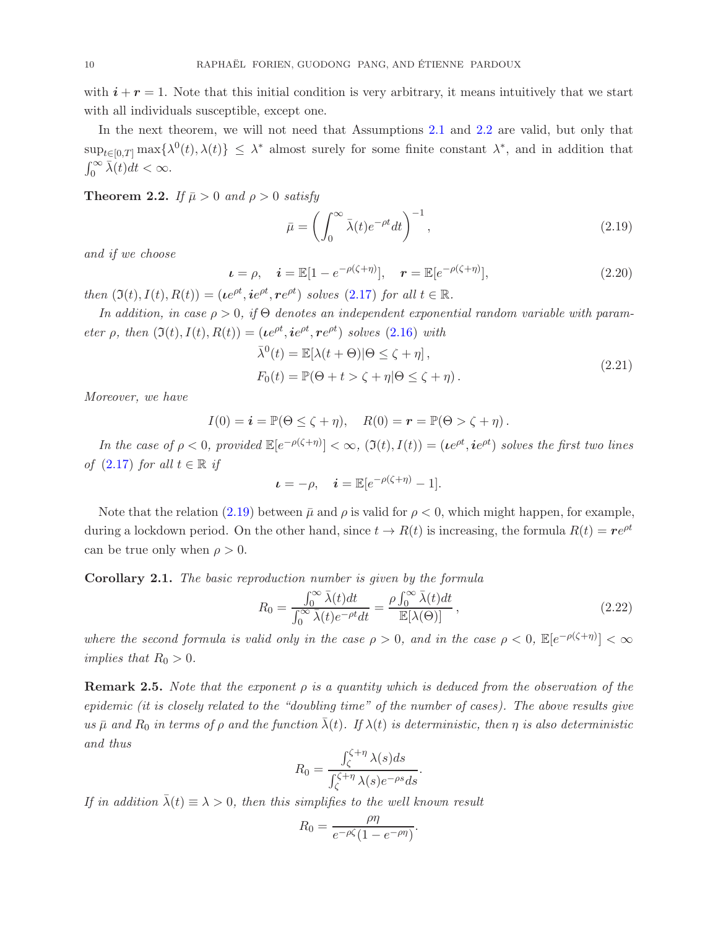with  $i + r = 1$ . Note that this initial condition is very arbitrary, it means intuitively that we start with all individuals susceptible, except one.

In the next theorem, we will not need that Assumptions [2.1](#page-4-0) and [2.2](#page-5-1) are valid, but only that  $\sup_{t\in[0,T]} \max\{\lambda^0(t),\lambda(t)\}\leq \lambda^*$  almost surely for some finite constant  $\lambda^*$ , and in addition that  $\int_0^\infty \overline{\lambda}(t)dt < \infty.$ 

<span id="page-9-0"></span>**Theorem 2.2.** *If*  $\bar{\mu} > 0$  *and*  $\rho > 0$  *satisfy* 

<span id="page-9-1"></span>
$$
\bar{\mu} = \left(\int_0^\infty \bar{\lambda}(t)e^{-\rho t}dt\right)^{-1},\tag{2.19}
$$

*and if we choose*

<span id="page-9-3"></span>
$$
\mathbf{u} = \rho, \quad \mathbf{i} = \mathbb{E}[1 - e^{-\rho(\zeta + \eta)}], \quad \mathbf{r} = \mathbb{E}[e^{-\rho(\zeta + \eta)}], \tag{2.20}
$$

*then*  $(\mathfrak{I}(t), I(t), R(t)) = (te^{\rho t}, ie^{\rho t}, re^{\rho t})$  *solves*  $(2.17)$  *for all*  $t \in \mathbb{R}$ *.* 

*In addition, in case*  $\rho > 0$ , *if*  $\Theta$  *denotes an independent exponential random variable with parameter*  $\rho$ , *then*  $(\mathfrak{I}(t), I(t), R(t)) = (ie^{\rho t}, ie^{\rho t}, re^{\rho t})$  *solves*  $(2.16)$  *with* 

$$
\bar{\lambda}^{0}(t) = \mathbb{E}[\lambda(t + \Theta)|\Theta \le \zeta + \eta],
$$
  
\n
$$
F_{0}(t) = \mathbb{P}(\Theta + t > \zeta + \eta|\Theta \le \zeta + \eta).
$$
\n(2.21)

<span id="page-9-4"></span>*Moreover, we have*

$$
I(0) = \mathbf{i} = \mathbb{P}(\Theta \le \zeta + \eta), \quad R(0) = \mathbf{r} = \mathbb{P}(\Theta > \zeta + \eta).
$$

*In the case of*  $\rho < 0$ , provided  $\mathbb{E}[e^{-\rho(\zeta+\eta)}] < \infty$ ,  $(\mathfrak{I}(t), I(t)) = (ie^{\rho t}, ie^{\rho t})$  solves the first two lines *of*  $(2.17)$  *for all*  $t \in \mathbb{R}$  *if* 

$$
\boldsymbol{\iota} = -\rho, \quad \boldsymbol{i} = \mathbb{E}[e^{-\rho(\zeta + \eta)} - 1].
$$

Note that the relation [\(2.19\)](#page-9-1) between  $\bar{\mu}$  and  $\rho$  is valid for  $\rho < 0$ , which might happen, for example, during a lockdown period. On the other hand, since  $t \to R(t)$  is increasing, the formula  $R(t) = re^{\rho t}$ can be true only when  $\rho > 0$ .

<span id="page-9-2"></span>Corollary 2.1. *The basic reproduction number is given by the formula*

$$
R_0 = \frac{\int_0^\infty \bar{\lambda}(t)dt}{\int_0^\infty \bar{\lambda}(t)e^{-\rho t}dt} = \frac{\rho \int_0^\infty \bar{\lambda}(t)dt}{\mathbb{E}[\lambda(\Theta)]},\tag{2.22}
$$

.

.

*where the second formula is valid only in the case*  $\rho > 0$ , and in the case  $\rho < 0$ ,  $\mathbb{E}[e^{-\rho(\zeta+\eta)}] < \infty$ *implies that*  $R_0 > 0$ *.* 

Remark 2.5. *Note that the exponent* ρ *is a quantity which is deduced from the observation of the epidemic (it is closely related to the "doubling time" of the number of cases). The above results give*  $u\bar{v}$  *and*  $R_0$  *in terms of*  $\rho$  *and the function*  $\bar{\lambda}(t)$ *. If*  $\lambda(t)$  *is deterministic, then*  $\eta$  *is also deterministic and thus*

$$
R_0 = \frac{\int_{\zeta}^{\zeta + \eta} \lambda(s) ds}{\int_{\zeta}^{\zeta + \eta} \lambda(s) e^{-\rho s} ds}
$$

*If in addition*  $\bar{\lambda}(t) \equiv \lambda > 0$ , then this simplifies to the well known result

$$
R_0 = \frac{\rho \eta}{e^{-\rho \zeta} (1 - e^{-\rho \eta})}
$$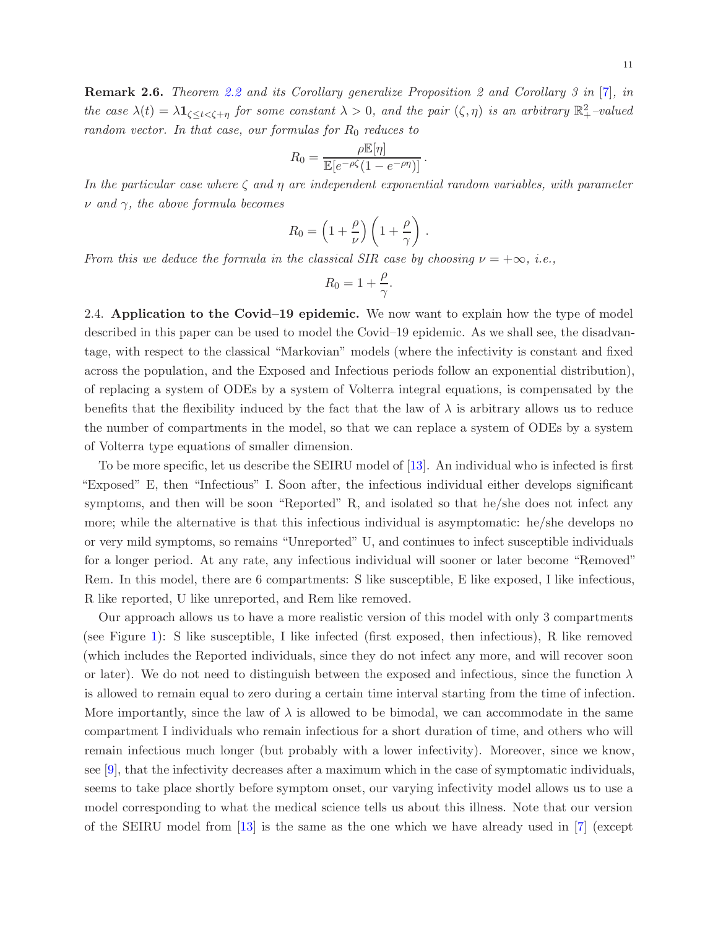Remark 2.6. *Theorem [2.2](#page-9-0) and its Corollary generalize Proposition 2 and Corollary 3 in* [\[7\]](#page-21-1)*, in the case*  $\lambda(t) = \lambda \mathbf{1}_{\zeta \le t < \zeta + \eta}$  *for some constant*  $\lambda > 0$ *, and the pair*  $(\zeta, \eta)$  *is an arbitrary*  $\mathbb{R}^2_+$ -valued *random vector. In that case, our formulas for*  $R_0$  *reduces to* 

$$
R_0 = \frac{\rho \mathbb{E}[\eta]}{\mathbb{E}[e^{-\rho \zeta} (1 - e^{-\rho \eta})]}.
$$

*In the particular case where* ζ *and* η *are independent exponential random variables, with parameter* ν *and* γ*, the above formula becomes*

$$
R_0 = \left(1 + \frac{\rho}{\nu}\right) \left(1 + \frac{\rho}{\gamma}\right)
$$

.

*From this we deduce the formula in the classical SIR case by choosing*  $\nu = +\infty$ *, i.e.*,

$$
R_0 = 1 + \frac{\rho}{\gamma}.
$$

2.4. Application to the Covid–19 epidemic. We now want to explain how the type of model described in this paper can be used to model the Covid–19 epidemic. As we shall see, the disadvantage, with respect to the classical "Markovian" models (where the infectivity is constant and fixed across the population, and the Exposed and Infectious periods follow an exponential distribution), of replacing a system of ODEs by a system of Volterra integral equations, is compensated by the benefits that the flexibility induced by the fact that the law of  $\lambda$  is arbitrary allows us to reduce the number of compartments in the model, so that we can replace a system of ODEs by a system of Volterra type equations of smaller dimension.

To be more specific, let us describe the SEIRU model of [\[13\]](#page-21-11). An individual who is infected is first "Exposed" E, then "Infectious" I. Soon after, the infectious individual either develops significant symptoms, and then will be soon "Reported" R, and isolated so that he/she does not infect any more; while the alternative is that this infectious individual is asymptomatic: he/she develops no or very mild symptoms, so remains "Unreported" U, and continues to infect susceptible individuals for a longer period. At any rate, any infectious individual will sooner or later become "Removed" Rem. In this model, there are 6 compartments: S like susceptible, E like exposed, I like infectious, R like reported, U like unreported, and Rem like removed.

Our approach allows us to have a more realistic version of this model with only 3 compartments (see Figure [1\)](#page-11-0): S like susceptible, I like infected (first exposed, then infectious), R like removed (which includes the Reported individuals, since they do not infect any more, and will recover soon or later). We do not need to distinguish between the exposed and infectious, since the function  $\lambda$ is allowed to remain equal to zero during a certain time interval starting from the time of infection. More importantly, since the law of  $\lambda$  is allowed to be bimodal, we can accommodate in the same compartment I individuals who remain infectious for a short duration of time, and others who will remain infectious much longer (but probably with a lower infectivity). Moreover, since we know, see [\[9\]](#page-21-2), that the infectivity decreases after a maximum which in the case of symptomatic individuals, seems to take place shortly before symptom onset, our varying infectivity model allows us to use a model corresponding to what the medical science tells us about this illness. Note that our version of the SEIRU model from [\[13\]](#page-21-11) is the same as the one which we have already used in [\[7\]](#page-21-1) (except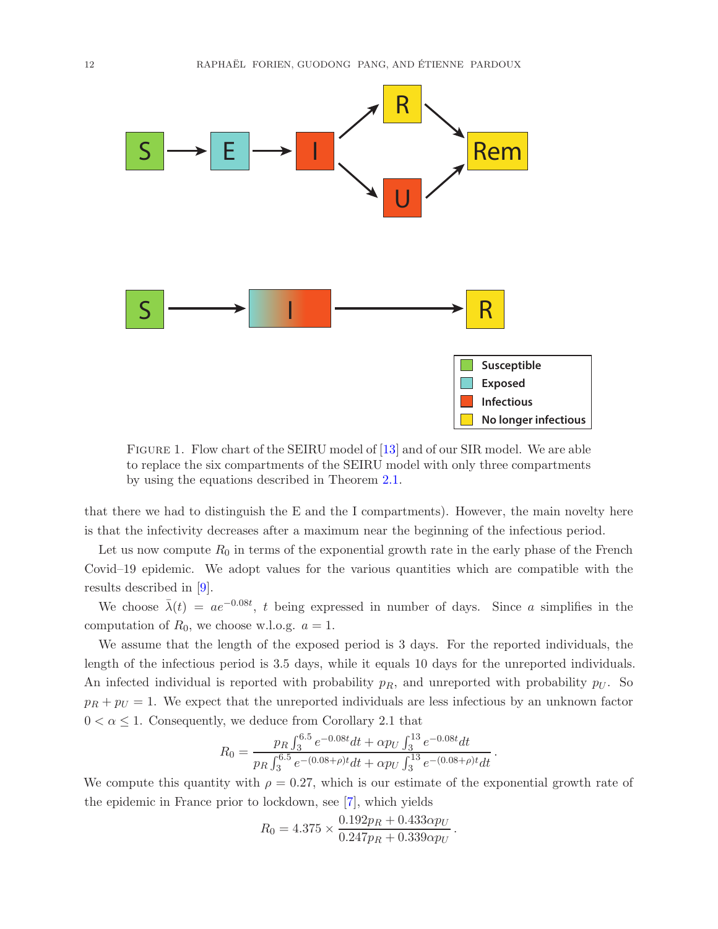

<span id="page-11-0"></span>Figure 1. Flow chart of the SEIRU model of [\[13\]](#page-21-11) and of our SIR model. We are able to replace the six compartments of the SEIRU model with only three compartments by using the equations described in Theorem [2.1.](#page-5-0)

that there we had to distinguish the E and the I compartments). However, the main novelty here is that the infectivity decreases after a maximum near the beginning of the infectious period.

Let us now compute  $R_0$  in terms of the exponential growth rate in the early phase of the French Covid–19 epidemic. We adopt values for the various quantities which are compatible with the results described in [\[9\]](#page-21-2).

We choose  $\bar{\lambda}(t) = ae^{-0.08t}$ , t being expressed in number of days. Since a simplifies in the computation of  $R_0$ , we choose w.l.o.g.  $a = 1$ .

We assume that the length of the exposed period is 3 days. For the reported individuals, the length of the infectious period is 3.5 days, while it equals 10 days for the unreported individuals. An infected individual is reported with probability  $p_R$ , and unreported with probability  $p_U$ . So  $p_R + p_U = 1$ . We expect that the unreported individuals are less infectious by an unknown factor  $0 < \alpha \leq 1$ . Consequently, we deduce from Corollary 2.1 that

$$
R_0 = \frac{p_R \int_3^{6.5} e^{-0.08t} dt + \alpha p_U \int_3^{13} e^{-0.08t} dt}{p_R \int_3^{6.5} e^{-(0.08+\rho)t} dt + \alpha p_U \int_3^{13} e^{-(0.08+\rho)t} dt}.
$$

We compute this quantity with  $\rho = 0.27$ , which is our estimate of the exponential growth rate of the epidemic in France prior to lockdown, see [\[7\]](#page-21-1), which yields

$$
R_0 = 4.375 \times \frac{0.192p_R + 0.433\alpha p_U}{0.247p_R + 0.339\alpha p_U}.
$$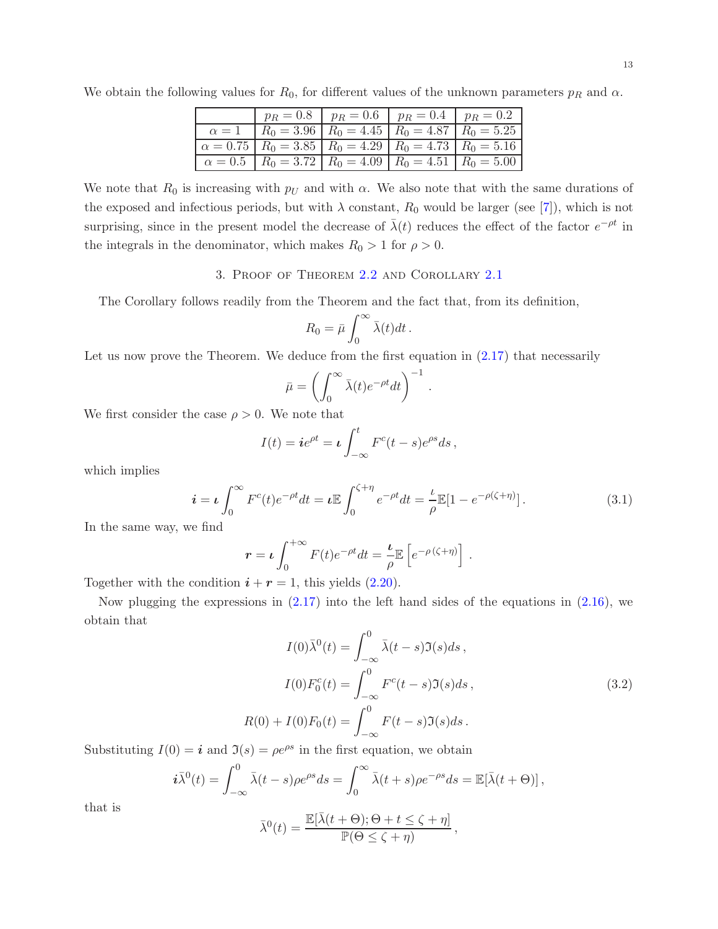|            |  | $p_R = 0.8$   $p_R = 0.6$   $p_R = 0.4$   $p_R = 0.2$                                     |  |
|------------|--|-------------------------------------------------------------------------------------------|--|
| $\alpha=1$ |  | $R_0 = 3.96$ $R_0 = 4.45$ $R_0 = 4.87$ $R_0 = 5.25$                                       |  |
|            |  | $\mid \alpha = 0.75 \mid R_0 = 3.85 \mid R_0 = 4.29 \mid R_0 = 4.73 \mid R_0 = 5.16 \mid$ |  |
|            |  | $\alpha = 0.5$ $R_0 = 3.72$ $R_0 = 4.09$ $R_0 = 4.51$ $R_0 = 5.00$                        |  |

We obtain the following values for  $R_0$ , for different values of the unknown parameters  $p_R$  and  $\alpha$ .

We note that  $R_0$  is increasing with  $p_U$  and with  $\alpha$ . We also note that with the same durations of the exposed and infectious periods, but with  $\lambda$  constant,  $R_0$  would be larger (see [\[7\]](#page-21-1)), which is not surprising, since in the present model the decrease of  $\bar{\lambda}(t)$  reduces the effect of the factor  $e^{-\rho t}$  in the integrals in the denominator, which makes  $R_0 > 1$  for  $\rho > 0$ .

### 3. Proof of Theorem [2.2](#page-9-0) and Corollary [2.1](#page-9-2)

The Corollary follows readily from the Theorem and the fact that, from its definition,

$$
R_0 = \bar{\mu} \int_0^\infty \bar{\lambda}(t) dt \, .
$$

Let us now prove the Theorem. We deduce from the first equation in  $(2.17)$  that necessarily

$$
\bar{\mu} = \left(\int_0^\infty \bar{\lambda}(t)e^{-\rho t}dt\right)^{-1}
$$

We first consider the case  $\rho > 0$ . We note that

$$
I(t) = ie^{\rho t} = \iota \int_{-\infty}^{t} F^{c}(t-s)e^{\rho s}ds,
$$

which implies

$$
\mathbf{i} = \mathbf{i} \int_0^\infty F^c(t) e^{-\rho t} dt = \mathbf{i} \mathbb{E} \int_0^{\zeta + \eta} e^{-\rho t} dt = \frac{\iota}{\rho} \mathbb{E} [1 - e^{-\rho(\zeta + \eta)}]. \tag{3.1}
$$

<span id="page-12-0"></span>.

In the same way, we find

$$
\mathbf{r} = \boldsymbol{\iota} \int_0^{+\infty} F(t) e^{-\rho t} dt = \frac{\boldsymbol{\iota}}{\rho} \mathbb{E} \left[ e^{-\rho (\zeta + \eta)} \right].
$$

Together with the condition  $i + r = 1$ , this yields [\(2.20\)](#page-9-3).

Now plugging the expressions in  $(2.17)$  into the left hand sides of the equations in  $(2.16)$ , we obtain that

$$
I(0)\bar{\lambda}^{0}(t) = \int_{-\infty}^{0} \bar{\lambda}(t-s)\Im(s)ds,
$$
  
\n
$$
I(0)F_{0}^{c}(t) = \int_{-\infty}^{0} F^{c}(t-s)\Im(s)ds,
$$
  
\n
$$
R(0) + I(0)F_{0}(t) = \int_{-\infty}^{0} F(t-s)\Im(s)ds.
$$
\n(3.2)

Substituting  $I(0) = \mathbf{i}$  and  $\mathfrak{I}(s) = \rho e^{\rho s}$  in the first equation, we obtain

$$
\mathbf{i}\bar{\lambda}^{0}(t) = \int_{-\infty}^{0} \bar{\lambda}(t-s)\rho e^{\rho s}ds = \int_{0}^{\infty} \bar{\lambda}(t+s)\rho e^{-\rho s}ds = \mathbb{E}[\bar{\lambda}(t+\Theta)],
$$

that is

$$
\bar{\lambda}^{0}(t) = \frac{\mathbb{E}[\bar{\lambda}(t+\Theta); \Theta + t \leq \zeta + \eta]}{\mathbb{P}(\Theta \leq \zeta + \eta)},
$$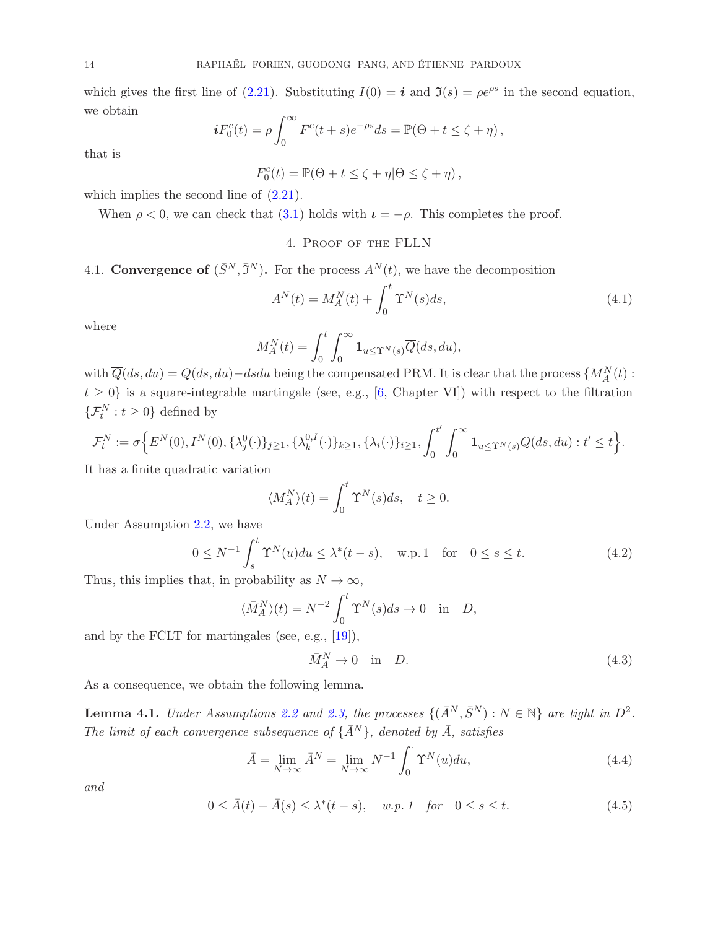which gives the first line of [\(2.21\)](#page-9-4). Substituting  $I(0) = i$  and  $\mathfrak{I}(s) = \rho e^{\rho s}$  in the second equation, we obtain

$$
iF_0^c(t) = \rho \int_0^\infty F^c(t+s)e^{-\rho s}ds = \mathbb{P}(\Theta + t \le \zeta + \eta),
$$

that is

 $F_0^c(t) = \mathbb{P}(\Theta + t \le \zeta + \eta | \Theta \le \zeta + \eta),$ 

which implies the second line of  $(2.21)$ .

When  $\rho < 0$ , we can check that  $(3.1)$  holds with  $\iota = -\rho$ . This completes the proof.

### 4. Proof of the FLLN

# 4.1. Convergence of  $(\bar{S}^N, \bar{S}^N)$ . For the process  $A^N(t)$ , we have the decomposition

$$
A^{N}(t) = M_{A}^{N}(t) + \int_{0}^{t} \Upsilon^{N}(s)ds,
$$
\n(4.1)

where

$$
M_A^N(t) = \int_0^t \int_0^\infty \mathbf{1}_{u \le \Upsilon^N(s)} \overline{Q}(ds, du),
$$

with  $\overline{Q}(ds, du) = Q(ds, du) - dsdu$  being the compensated PRM. It is clear that the process  $\{M_A^N(t):$  $t \geq 0$  is a square-integrable martingale (see, e.g., [\[6,](#page-21-12) Chapter VI]) with respect to the filtration  $\{\mathcal{F}_t^N : t \geq 0\}$  defined by

$$
\mathcal{F}_t^N := \sigma \Big\{ E^N(0), I^N(0), \{\lambda_j^0(\cdot)\}_{j \ge 1}, \{\lambda_k^{0,I}(\cdot)\}_{k \ge 1}, \{\lambda_i(\cdot)\}_{i \ge 1}, \int_0^{t'} \int_0^{\infty} \mathbf{1}_{u \le \Upsilon^N(s)} Q(ds, du) : t' \le t \Big\}.
$$

It has a finite quadratic variation

$$
\langle M_A^N \rangle(t) = \int_0^t \Upsilon^N(s)ds, \quad t \ge 0.
$$

Under Assumption [2.2,](#page-5-1) we have

<span id="page-13-0"></span>
$$
0 \le N^{-1} \int_{s}^{t} \Upsilon^{N}(u) du \le \lambda^{*}(t-s), \quad \text{w.p. 1} \quad \text{for} \quad 0 \le s \le t.
$$
 (4.2)

Thus, this implies that, in probability as  $N \to \infty$ ,

$$
\langle \bar{M}_A^N \rangle(t) = N^{-2} \int_0^t \Upsilon^N(s) ds \to 0 \quad \text{in} \quad D,
$$

and by the FCLT for martingales (see, e.g., [\[19\]](#page-21-13)),

<span id="page-13-1"></span>
$$
\bar{M}_A^N \to 0 \quad \text{in} \quad D. \tag{4.3}
$$

As a consequence, we obtain the following lemma.

<span id="page-13-2"></span>**Lemma 4.1.** *Under Assumptions* [2.2](#page-5-1) *and* [2.3,](#page-5-2) *the processes*  $\{(\bar{A}^N, \bar{S}^N) : N \in \mathbb{N}\}\$  *are tight in*  $D^2$ . *The limit of each convergence subsequence of*  $\{\bar{A}^N\}$ *, denoted by*  $\bar{A}$ *, satisfies* 

$$
\bar{A} = \lim_{N \to \infty} \bar{A}^N = \lim_{N \to \infty} N^{-1} \int_0^{\cdot} \Upsilon^N(u) du,
$$
\n(4.4)

*and*

$$
0 \leq \bar{A}(t) - \bar{A}(s) \leq \lambda^*(t - s), \quad w.p. 1 \quad \text{for} \quad 0 \leq s \leq t. \tag{4.5}
$$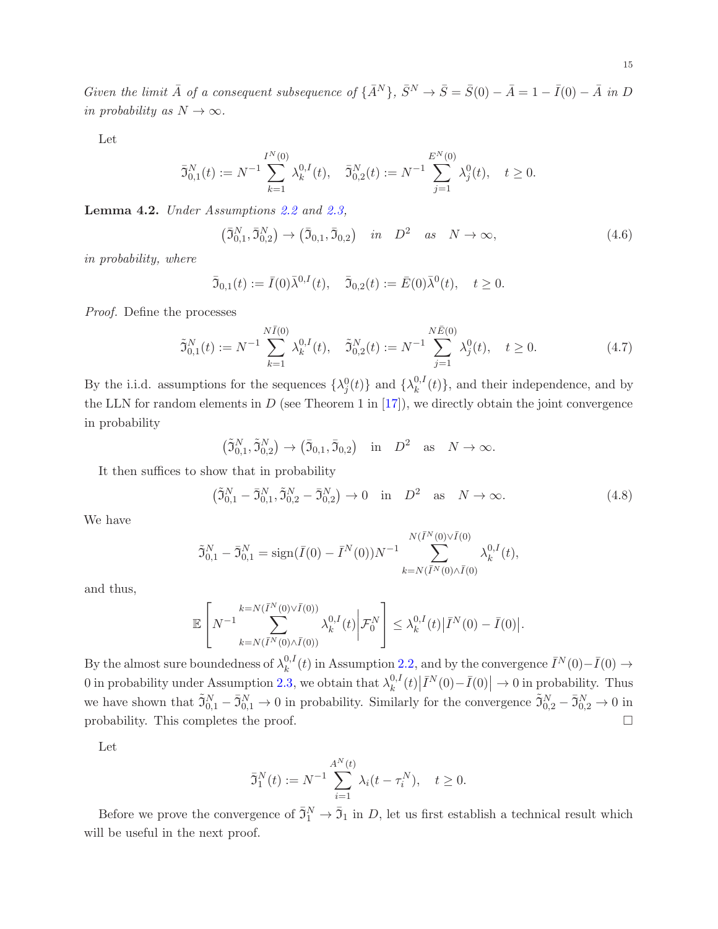*Given the limit*  $\bar{A}$  *of a consequent subsequence of*  $\{\bar{A}^{N}\}, \bar{S}^{N} \rightarrow \bar{S} = \bar{S}(0) - \bar{A} = 1 - \bar{I}(0) - \bar{A}$  *in* D *in probability as*  $N \to \infty$ *.* 

Let

$$
\bar{\mathfrak{I}}_{0,1}^N(t) := N^{-1} \sum_{k=1}^{I^N(0)} \lambda_k^{0,I}(t), \quad \bar{\mathfrak{I}}_{0,2}^N(t) := N^{-1} \sum_{j=1}^{E^N(0)} \lambda_j^0(t), \quad t \ge 0.
$$

Lemma 4.2. *Under Assumptions [2.2](#page-5-1) and [2.3,](#page-5-2)*

<span id="page-14-0"></span>
$$
(\bar{3}_{0,1}^N, \bar{3}_{0,2}^N) \to (\bar{3}_{0,1}, \bar{3}_{0,2}) \quad in \quad D^2 \quad as \quad N \to \infty,
$$
\n(4.6)

*in probability, where*

$$
\bar{\mathfrak{I}}_{0,1}(t) := \bar{I}(0)\bar{\lambda}^{0,1}(t), \quad \bar{\mathfrak{I}}_{0,2}(t) := \bar{E}(0)\bar{\lambda}^{0}(t), \quad t \ge 0.
$$

*Proof.* Define the processes

$$
\tilde{\mathfrak{I}}_{0,1}^N(t) := N^{-1} \sum_{k=1}^{N\bar{I}(0)} \lambda_k^{0,I}(t), \quad \tilde{\mathfrak{I}}_{0,2}^N(t) := N^{-1} \sum_{j=1}^{N\bar{E}(0)} \lambda_j^0(t), \quad t \ge 0.
$$
\n(4.7)

By the i.i.d. assumptions for the sequences  $\{\lambda_j^0(t)\}\$  and  $\{\lambda_k^{0,1}\}\$  $\binom{0,1}{k}(t)$ , and their independence, and by the LLN for random elements in  $D$  (see Theorem 1 in  $[17]$ ), we directly obtain the joint convergence in probability

<span id="page-14-2"></span><span id="page-14-1"></span>
$$
(\tilde{\mathfrak{I}}_{0,1}^N, \tilde{\mathfrak{I}}_{0,2}^N) \to (\bar{\mathfrak{I}}_{0,1}, \bar{\mathfrak{I}}_{0,2})
$$
 in  $D^2$  as  $N \to \infty$ .

It then suffices to show that in probability

$$
(\tilde{\mathfrak{I}}_{0,1}^N - \bar{\mathfrak{I}}_{0,1}^N, \tilde{\mathfrak{I}}_{0,2}^N - \bar{\mathfrak{I}}_{0,2}^N) \to 0 \quad \text{in} \quad D^2 \quad \text{as} \quad N \to \infty. \tag{4.8}
$$

We have

$$
\tilde{\mathfrak{I}}_{0,1}^{N} - \bar{\mathfrak{I}}_{0,1}^{N} = \text{sign}(\bar{I}(0) - \bar{I}^{N}(0))N^{-1} \sum_{k=N(\bar{I}^{N}(0)\wedge \bar{I}(0))}^{N(\bar{I}^{N}(0)\vee \bar{I}(0))} \lambda_{k}^{0,I}(t),
$$

and thus,

$$
\mathbb{E}\left[N^{-1}\sum_{k=N(\bar{I}^{N}(0)\vee\bar{I}(0))}^{k=N(\bar{I}^{N}(0)\vee\bar{I}(0))}\lambda_{k}^{0,I}(t)\bigg|\mathcal{F}_{0}^{N}\right]\leq\lambda_{k}^{0,I}(t)\big|\bar{I}^{N}(0)-\bar{I}(0)\big|.
$$

By the almost sure boundedness of  $\lambda_k^{0,I}$  $k_k^{0,I}(t)$  in Assumption [2.2,](#page-5-1) and by the convergence  $\bar{I}^N(0) - \bar{I}(0)$  → 0 in probability under Assumption [2.3,](#page-5-2) we obtain that  $\lambda_k^{0,l}$  $\int_k^{0,I}(t)\big|\bar{I}^N(0)-\bar{I}(0)\big| \to 0$  in probability. Thus we have shown that  $\tilde{\mathfrak{I}}_{0,1}^N - \bar{\mathfrak{I}}_{0,1}^N \to 0$  in probability. Similarly for the convergence  $\tilde{\mathfrak{I}}_{0,2}^N - \bar{\mathfrak{I}}_{0,2}^N \to 0$  in probability. This completes the proof.  $\Box$ 

Let

$$
\bar{\mathfrak{I}}_1^N(t) := N^{-1} \sum_{i=1}^{A^N(t)} \lambda_i(t - \tau_i^N), \quad t \ge 0.
$$

Before we prove the convergence of  $\bar{3}_1^N \to \bar{3}_1$  in D, let us first establish a technical result which will be useful in the next proof.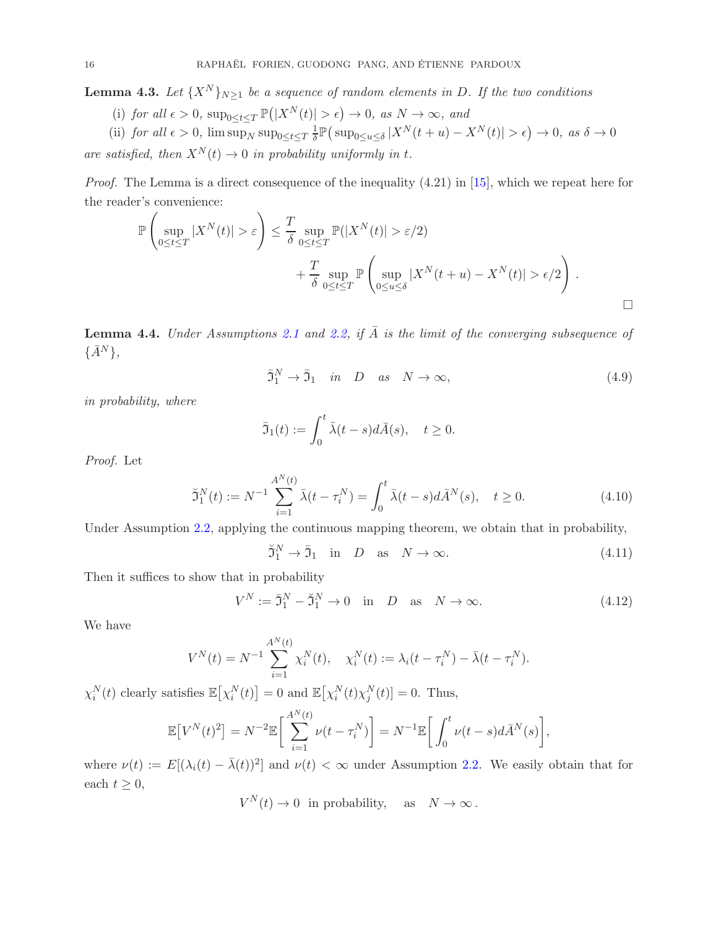<span id="page-15-0"></span>**Lemma 4.3.** Let  $\{X^N\}_{N\geq 1}$  be a sequence of random elements in D. If the two conditions

(i) for all 
$$
\epsilon > 0
$$
,  $\sup_{0 \le t \le T} \mathbb{P}(|X^N(t)| > \epsilon) \to 0$ , as  $N \to \infty$ , and

(ii) *for all*  $\epsilon > 0$ ,  $\limsup_N \sup_{0 \le t \le T} \frac{1}{\delta}$  $\frac{1}{\delta} \mathbb{P} \big( \sup_{0 \le u \le \delta} |X^N(t+u) - X^N(t)| > \epsilon \big) \to 0, \text{ as } \delta \to 0$ 

*are satisfied, then*  $X^N(t) \to 0$  *in probability uniformly in t.* 

*Proof.* The Lemma is a direct consequence of the inequality (4.21) in [\[15\]](#page-21-0), which we repeat here for the reader's convenience:

$$
\mathbb{P}\left(\sup_{0\leq t\leq T}|X^{N}(t)|>\varepsilon\right)\leq \frac{T}{\delta}\sup_{0\leq t\leq T}\mathbb{P}(|X^{N}(t)|>\varepsilon/2) + \frac{T}{\delta}\sup_{0\leq t\leq T}\mathbb{P}\left(\sup_{0\leq u\leq \delta}|X^{N}(t+u)-X^{N}(t)|>\varepsilon/2\right).
$$

<span id="page-15-1"></span>**Lemma 4.4.** *Under Assumptions* [2.1](#page-4-0) *and* [2.2,](#page-5-1) *if*  $\overline{A}$  *is the limit of the converging subsequence of*  $\{\bar{A}^N\},\$ 

<span id="page-15-2"></span>
$$
\bar{\mathfrak{I}}_1^N \to \bar{\mathfrak{I}}_1 \quad in \quad D \quad as \quad N \to \infty,
$$
\n(4.9)

*in probability, where*

$$
\bar{\mathfrak{I}}_1(t) := \int_0^t \bar{\lambda}(t-s)d\bar{A}(s), \quad t \ge 0.
$$

*Proof.* Let

$$
\breve{\mathfrak{I}}_1^N(t) := N^{-1} \sum_{i=1}^{A^N(t)} \bar{\lambda}(t - \tau_i^N) = \int_0^t \bar{\lambda}(t - s) d\bar{A}^N(s), \quad t \ge 0.
$$
 (4.10)

Under Assumption [2.2,](#page-5-1) applying the continuous mapping theorem, we obtain that in probability,

<span id="page-15-4"></span><span id="page-15-3"></span>
$$
\tilde{\mathfrak{I}}_1^N \to \bar{\mathfrak{I}}_1 \quad \text{in} \quad D \quad \text{as} \quad N \to \infty. \tag{4.11}
$$

Then it suffices to show that in probability

<span id="page-15-5"></span>
$$
V^N := \overline{\mathfrak{I}}_1^N - \breve{\mathfrak{I}}_1^N \to 0 \quad \text{in} \quad D \quad \text{as} \quad N \to \infty. \tag{4.12}
$$

We have

$$
V^{N}(t) = N^{-1} \sum_{i=1}^{A^{N}(t)} \chi_{i}^{N}(t), \quad \chi_{i}^{N}(t) := \lambda_{i}(t - \tau_{i}^{N}) - \bar{\lambda}(t - \tau_{i}^{N}).
$$

 $\chi_i^N(t)$  clearly satisfies  $\mathbb{E}[\chi_i^N(t)] = 0$  and  $\mathbb{E}[\chi_i^N(t)\chi_j^N(t)] = 0$ . Thus,

$$
\mathbb{E}\left[V^{N}(t)^{2}\right] = N^{-2}\mathbb{E}\left[\sum_{i=1}^{A^{N}(t)}\nu(t-\tau_{i}^{N})\right] = N^{-1}\mathbb{E}\left[\int_{0}^{t}\nu(t-s)d\bar{A}^{N}(s)\right],
$$

where  $\nu(t) := E[(\lambda_i(t) - \bar{\lambda}(t))^2]$  and  $\nu(t) < \infty$  under Assumption [2.2.](#page-5-1) We easily obtain that for each  $t \geq 0$ ,

 $V^N(t) \to 0$  in probability, as  $N \to \infty$ .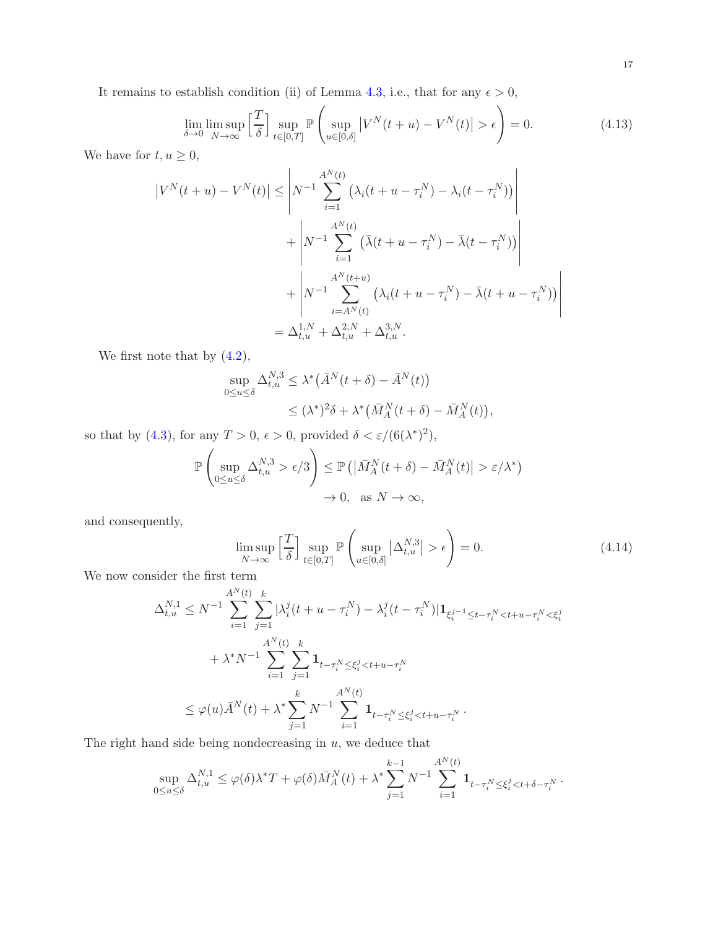It remains to establish condition (ii) of Lemma [4.3,](#page-15-0) i.e., that for any  $\epsilon > 0$ ,

<span id="page-16-0"></span>
$$
\lim_{\delta \to 0} \limsup_{N \to \infty} \left[ \frac{T}{\delta} \right] \sup_{t \in [0,T]} \mathbb{P} \left( \sup_{u \in [0,\delta]} |V^N(t+u) - V^N(t)| > \epsilon \right) = 0. \tag{4.13}
$$

We have for  $t, u \geq 0$ ,

$$
\left|V^{N}(t+u) - V^{N}(t)\right| \leq \left|N^{-1} \sum_{i=1}^{A^{N}(t)} \left(\lambda_{i}(t+u-\tau_{i}^{N}) - \lambda_{i}(t-\tau_{i}^{N})\right)\right|
$$
  
+ 
$$
\left|N^{-1} \sum_{i=1}^{A^{N}(t)} \left(\bar{\lambda}(t+u-\tau_{i}^{N}) - \bar{\lambda}(t-\tau_{i}^{N})\right)\right|
$$
  
+ 
$$
\left|N^{-1} \sum_{i=A^{N}(t)}^{A^{N}(t+u)} \left(\lambda_{i}(t+u-\tau_{i}^{N}) - \bar{\lambda}(t+u-\tau_{i}^{N})\right)\right|
$$
  
= 
$$
\Delta_{t,u}^{1,N} + \Delta_{t,u}^{2,N} + \Delta_{t,u}^{3,N}.
$$

We first note that by [\(4.2\)](#page-13-0),

$$
\sup_{0 \le u \le \delta} \Delta_{t,u}^{N,3} \le \lambda^* (\overline{A}^N(t+\delta) - \overline{A}^N(t))
$$
  
 
$$
\le (\lambda^*)^2 \delta + \lambda^* (\overline{M}_A^N(t+\delta) - \overline{M}_A^N(t)),
$$

so that by [\(4.3\)](#page-13-1), for any  $T > 0$ ,  $\epsilon > 0$ , provided  $\delta < \epsilon/(6(\lambda^*)^2)$ ,

$$
\mathbb{P}\left(\sup_{0\leq u\leq \delta} \Delta_{t,u}^{N,3} > \epsilon/3\right) \leq \mathbb{P}\left(\left|\bar{M}_A^N(t+\delta) - \bar{M}_A^N(t)\right| > \epsilon/\lambda^*\right) \to 0, \text{ as } N \to \infty,
$$

and consequently,

$$
\limsup_{N \to \infty} \left[ \frac{T}{\delta} \right] \sup_{t \in [0,T]} \mathbb{P} \left( \sup_{u \in [0,\delta]} |\Delta_{t,u}^{N,3}| > \epsilon \right) = 0. \tag{4.14}
$$

We now consider the first term

$$
\Delta_{t,u}^{N,1} \leq N^{-1} \sum_{i=1}^{A^N(t)} \sum_{j=1}^k |\lambda_i^j(t+u-\tau_i^N) - \lambda_i^j(t-\tau_i^N)| \mathbf{1}_{\xi_i^{j-1} \leq t-\tau_i^N < t+u-\tau_i^N < \xi_i^j} \n+ \lambda^* N^{-1} \sum_{i=1}^{A^N(t)} \sum_{j=1}^k \mathbf{1}_{t-\tau_i^N \leq \xi_i^j < t+u-\tau_i^N} \n\leq \varphi(u) \bar{A}^N(t) + \lambda^* \sum_{j=1}^k N^{-1} \sum_{i=1}^{A^N(t)} \mathbf{1}_{t-\tau_i^N \leq \xi_i^j < t+u-\tau_i^N}.
$$

The right hand side being nondecreasing in  $u$ , we deduce that

$$
\sup_{0 \le u \le \delta} \Delta_{t,u}^{N,1} \le \varphi(\delta) \lambda^* T + \varphi(\delta) \bar{M}_A^N(t) + \lambda^* \sum_{j=1}^{k-1} N^{-1} \sum_{i=1}^{A^N(t)} \mathbf{1}_{t - \tau_i^N \le \xi_i^j < t + \delta - \tau_i^N}.
$$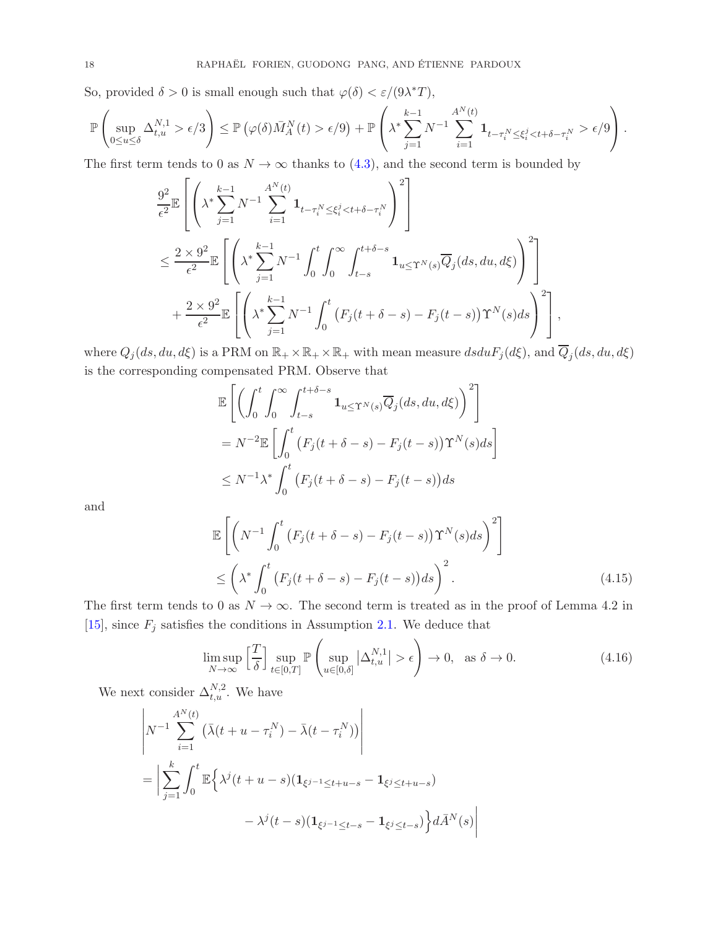So, provided  $\delta > 0$  is small enough such that  $\varphi(\delta) < \varepsilon/(9\lambda^*T)$ ,

$$
\mathbb{P}\left(\sup_{0\leq u\leq \delta}\Delta_{t,u}^{N,1} > \epsilon/3\right) \leq \mathbb{P}\left(\varphi(\delta)\bar{M}_{A}^{N}(t) > \epsilon/9\right) + \mathbb{P}\left(\lambda^{*}\sum_{j=1}^{k-1}N^{-1}\sum_{i=1}^{A^{N}(t)}\mathbf{1}_{t-\tau_{i}^{N}\leq \xi_{i}^{j}\leq t+\delta-\tau_{i}^{N}} > \epsilon/9\right).
$$

The first term tends to 0 as  $N \to \infty$  thanks to [\(4.3\)](#page-13-1), and the second term is bounded by

$$
\frac{9^{2}}{\epsilon^{2}} \mathbb{E}\left[\left(\lambda^{*}\sum_{j=1}^{k-1} N^{-1}\sum_{i=1}^{A^{N}(t)} \mathbf{1}_{t-\tau_{i}^{N}\leq \xi_{i}^{j} < t+\delta-\tau_{i}^{N}}\right)^{2}\right] \n\leq \frac{2 \times 9^{2}}{\epsilon^{2}} \mathbb{E}\left[\left(\lambda^{*}\sum_{j=1}^{k-1} N^{-1}\int_{0}^{t} \int_{0}^{\infty} \int_{t-s}^{t+\delta-s} \mathbf{1}_{u \leq \Upsilon^{N}(s)} \overline{Q}_{j}(ds, du, d\xi)\right)^{2}\right] \n+ \frac{2 \times 9^{2}}{\epsilon^{2}} \mathbb{E}\left[\left(\lambda^{*}\sum_{j=1}^{k-1} N^{-1}\int_{0}^{t} \left(F_{j}(t+\delta-s) - F_{j}(t-s)\right)\Upsilon^{N}(s)ds\right)^{2}\right],
$$

where  $Q_j(ds, du, d\xi)$  is a PRM on  $\mathbb{R}_+ \times \mathbb{R}_+ \times \mathbb{R}_+$  with mean measure  $dsduF_j(d\xi)$ , and  $\overline{Q}_j(ds, du, d\xi)$ is the corresponding compensated PRM. Observe that

$$
\mathbb{E}\left[\left(\int_0^t \int_0^\infty \int_{t-s}^{t+\delta-s} \mathbf{1}_{u \leq \Upsilon^N(s)} \overline{Q}_j(ds, du, d\xi)\right)^2\right]
$$
  
=  $N^{-2} \mathbb{E}\left[\int_0^t \left(F_j(t+\delta-s) - F_j(t-s)\right) \Upsilon^N(s)ds\right]$   
 $\leq N^{-1} \lambda^* \int_0^t \left(F_j(t+\delta-s) - F_j(t-s)\right)ds$ 

and

<span id="page-17-0"></span>
$$
\mathbb{E}\left[\left(N^{-1}\int_0^t \left(F_j(t+\delta-s) - F_j(t-s)\right)\Upsilon^N(s)ds\right)^2\right] \le \left(\lambda^*\int_0^t \left(F_j(t+\delta-s) - F_j(t-s)\right)ds\right)^2.
$$
\n(4.15)

The first term tends to 0 as  $N \to \infty$ . The second term is treated as in the proof of Lemma 4.2 in [\[15\]](#page-21-0), since  $F_j$  satisfies the conditions in Assumption [2.1.](#page-4-0) We deduce that

<span id="page-17-1"></span>
$$
\limsup_{N \to \infty} \left[ \frac{T}{\delta} \right] \sup_{t \in [0,T]} \mathbb{P} \left( \sup_{u \in [0,\delta]} |\Delta_{t,u}^{N,1}| > \epsilon \right) \to 0, \text{ as } \delta \to 0.
$$
 (4.16)

We next consider  $\Delta_{t,u}^{N,2}$ . We have

$$
\begin{aligned} & \left| N^{-1} \sum_{i=1}^{A^N(t)} \left( \bar{\lambda}(t+u-\tau_i^N) - \bar{\lambda}(t-\tau_i^N) \right) \right| \\ & = \left| \sum_{j=1}^k \int_0^t \mathbb{E} \left\{ \lambda^j(t+u-s) (\mathbf{1}_{\xi^{j-1} \le t+u-s} - \mathbf{1}_{\xi^j \le t+u-s}) \\ & \quad - \lambda^j(t-s) (\mathbf{1}_{\xi^{j-1} \le t-s} - \mathbf{1}_{\xi^j \le t-s}) \right\} d\bar{A}^N(s) \right| \end{aligned}
$$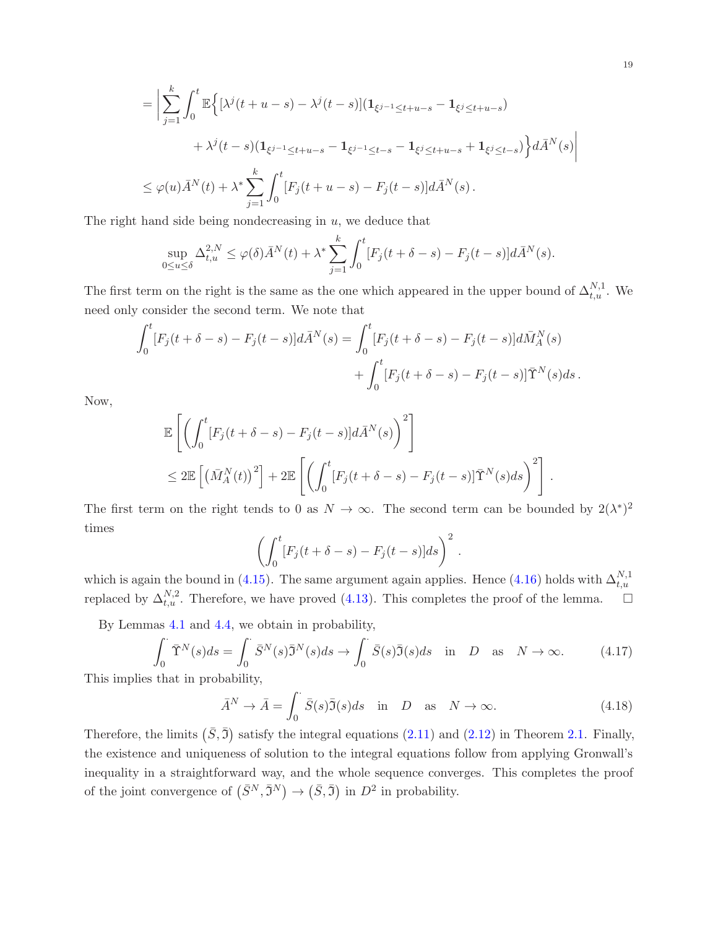$$
= \left| \sum_{j=1}^{k} \int_{0}^{t} \mathbb{E} \left\{ \left[ \lambda^{j} (t+u-s) - \lambda^{j} (t-s) \right] (1_{\xi^{j-1} \le t+u-s} - 1_{\xi^{j} \le t+u-s}) \right.\right.
$$
  

$$
+ \lambda^{j} (t-s) (1_{\xi^{j-1} \le t+u-s} - 1_{\xi^{j-1} \le t-s} - 1_{\xi^{j} \le t+u-s} + 1_{\xi^{j} \le t-s}) \right\} d\bar{A}^{N}(s)
$$
  

$$
\le \varphi(u) \bar{A}^{N}(t) + \lambda^{*} \sum_{j=1}^{k} \int_{0}^{t} [F_{j}(t+u-s) - F_{j}(t-s)] d\bar{A}^{N}(s).
$$

The right hand side being nondecreasing in  $u$ , we deduce that

$$
\sup_{0\leq u\leq \delta} \Delta_{t,u}^{2,N} \leq \varphi(\delta) \bar{A}^N(t) + \lambda^* \sum_{j=1}^k \int_0^t [F_j(t+\delta-s) - F_j(t-s)] d\bar{A}^N(s).
$$

The first term on the right is the same as the one which appeared in the upper bound of  $\Delta_{t,u}^{N,1}$ . We need only consider the second term. We note that

$$
\int_0^t [F_j(t+\delta-s) - F_j(t-s)]d\bar{A}^N(s) = \int_0^t [F_j(t+\delta-s) - F_j(t-s)]d\bar{M}^N_A(s) \n+ \int_0^t [F_j(t+\delta-s) - F_j(t-s)]\bar{\Upsilon}^N(s)ds.
$$

Now,

$$
\mathbb{E}\left[\left(\int_0^t [F_j(t+\delta-s)-F_j(t-s)]d\bar{A}^N(s)\right)^2\right]
$$
  
\n
$$
\leq 2\mathbb{E}\left[\left(\bar{M}_A^N(t)\right)^2\right] + 2\mathbb{E}\left[\left(\int_0^t [F_j(t+\delta-s)-F_j(t-s)]\bar{\Upsilon}^N(s)ds\right)^2\right]
$$

The first term on the right tends to 0 as  $N \to \infty$ . The second term can be bounded by  $2(\lambda^*)^2$ times

$$
\left(\int_0^t [F_j(t+\delta-s)-F_j(t-s)]ds\right)^2.
$$

which is again the bound in [\(4.15\)](#page-17-0). The same argument again applies. Hence [\(4.16\)](#page-17-1) holds with  $\Delta_{t,u}^{N,1}$ replaced by  $\Delta_{t,u}^{N,2}$ . Therefore, we have proved [\(4.13\)](#page-16-0). This completes the proof of the lemma.  $\Box$ 

By Lemmas [4.1](#page-13-2) and [4.4,](#page-15-1) we obtain in probability,

$$
\int_0^{\cdot} \overline{\Upsilon}^N(s)ds = \int_0^{\cdot} \overline{S}^N(s)\overline{\J}^N(s)ds \to \int_0^{\cdot} \overline{S}(s)\overline{\J}^N(s)ds \quad \text{in} \quad D \quad \text{as} \quad N \to \infty. \tag{4.17}
$$

This implies that in probability,

$$
\bar{A}^N \to \bar{A} = \int_0^\cdot \bar{S}(s)\bar{\mathfrak{I}}(s)ds \quad \text{in} \quad D \quad \text{as} \quad N \to \infty. \tag{4.18}
$$

Therefore, the limits  $(\bar{S}, \bar{3})$  satisfy the integral equations  $(2.11)$  and  $(2.12)$  in Theorem [2.1.](#page-5-0) Finally, the existence and uniqueness of solution to the integral equations follow from applying Gronwall's inequality in a straightforward way, and the whole sequence converges. This completes the proof of the joint convergence of  $(\bar{S}^N, \bar{S}^N) \to (\bar{S}, \bar{S})$  in  $D^2$  in probability.

<span id="page-18-0"></span>.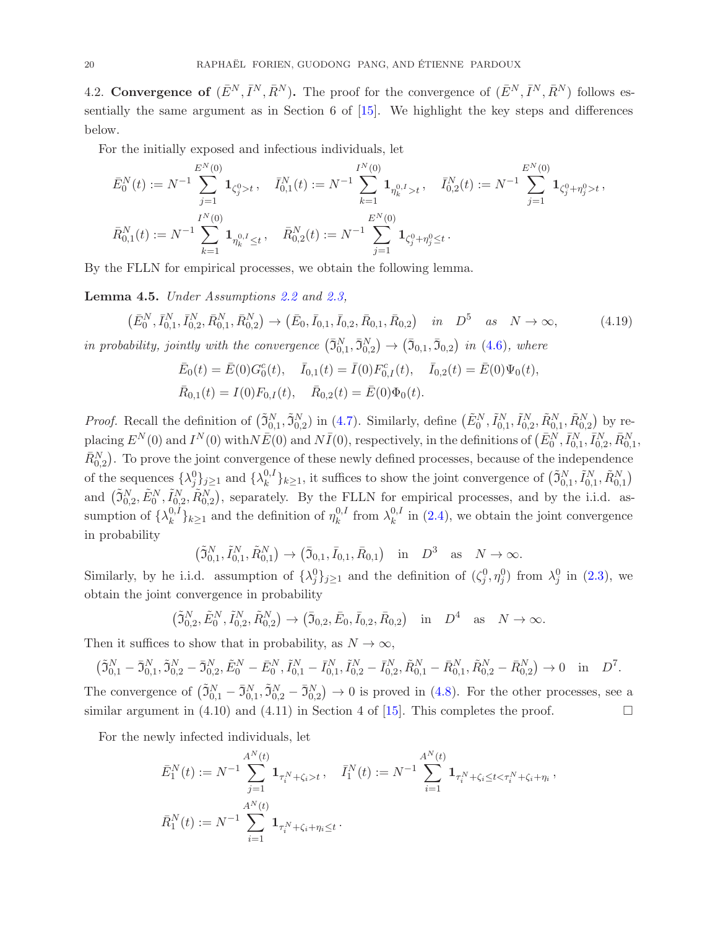4.2. Convergence of  $(\bar{E}^N, \bar{I}^N, \bar{R}^N)$ . The proof for the convergence of  $(\bar{E}^N, \bar{I}^N, \bar{R}^N)$  follows essentially the same argument as in Section 6 of [\[15\]](#page-21-0). We highlight the key steps and differences below.

For the initially exposed and infectious individuals, let

$$
\begin{aligned} \bar E^N_0(t) &:= N^{-1}\sum_{j=1}^{E^N(0)}\mathbf{1}_{\zeta^0_j>t}\,, \quad \bar I^N_{0,1}(t) := N^{-1}\sum_{k=1}^{I^N(0)}\mathbf{1}_{\eta^0_k\cdot>t}\,, \quad \bar I^N_{0,2}(t) := N^{-1}\sum_{j=1}^{E^N(0)}\mathbf{1}_{\zeta^0_j+\eta^0_j>t}\,, \\ \bar R^N_{0,1}(t) &:= N^{-1}\sum_{k=1}^{I^N(0)}\mathbf{1}_{\eta^0_k\cdot t\leq t}\,, \quad \bar R^N_{0,2}(t) := N^{-1}\sum_{j=1}^{E^N(0)}\mathbf{1}_{\zeta^0_j+\eta^0_j\leq t}\,. \end{aligned}
$$

By the FLLN for empirical processes, we obtain the following lemma.

Lemma 4.5. *Under Assumptions [2.2](#page-5-1) and [2.3,](#page-5-2)*

$$
(\bar{E}_0^N, \bar{I}_{0,1}^N, \bar{I}_{0,2}^N, \bar{R}_{0,1}^N, \bar{R}_{0,2}^N) \to (\bar{E}_0, \bar{I}_{0,1}, \bar{I}_{0,2}, \bar{R}_{0,1}, \bar{R}_{0,2}) \quad \text{in} \quad D^5 \quad \text{as} \quad N \to \infty,
$$
\n
$$
(4.19)
$$

*in probability, jointly with the convergence*  $(\bar{3}_{0,1}^N, \bar{3}_{0,2}^N) \rightarrow (\bar{3}_{0,1}, \bar{3}_{0,2})$  *in* [\(4.6\)](#page-14-0)*, where* 

<span id="page-19-0"></span>
$$
\begin{aligned} \bar{E}_0(t) &= \bar{E}(0)G_0^c(t), \quad \bar{I}_{0,1}(t) = \bar{I}(0)F_{0,I}^c(t), \quad \bar{I}_{0,2}(t) = \bar{E}(0)\Psi_0(t), \\ \bar{R}_{0,1}(t) &= I(0)F_{0,I}(t), \quad \bar{R}_{0,2}(t) = \bar{E}(0)\Phi_0(t). \end{aligned}
$$

*Proof.* Recall the definition of  $(\tilde{J}_{0,1}^N, \tilde{J}_{0,2}^N)$  in [\(4.7\)](#page-14-1). Similarly, define  $(\tilde{E}_0^N, \tilde{I}_{0,1}^N, \tilde{I}_{0,2}^N, \tilde{R}_{0,1}^N, \tilde{R}_{0,2}^N)$  by replacing  $E^N(0)$  and  $I^N(0)$  with  $N\bar{E}(0)$  and  $N\bar{I}(0)$ , respectively, in the definitions of  $(\bar{E}_0^N, \bar{I}_{0,1}^N, \bar{I}_{0,2}^N, \bar{R}_{0,1}^N,$  $\bar{R}_{0,2}^N$ ). To prove the joint convergence of these newly defined processes, because of the independence of the sequences  $\{\lambda_j^0\}_{j\geq 1}$  and  $\{\lambda_k^{0,I}\}$  $\{k_n^{(0,1)}, k_{n+1}^{(0,1)}, \ldots \}$  it suffices to show the joint convergence of  $(\tilde{\mathfrak{I}}_{0,1}^N, \tilde{I}_{0,1}^N, \tilde{R}_{0,1}^N)$ and  $(\tilde{\mathfrak{I}}_{0,2}^N, \tilde{E}_0^N, \tilde{I}_{0,2}^N, \tilde{R}_{0,2}^N)$ , separately. By the FLLN for empirical processes, and by the i.i.d. assumption of  $\{\lambda_k^{0,I}\}$  ${k \choose k} k \ge 1$  and the definition of  $\eta_k^{0,I}$  $\lambda_k^{0,I}$  from  $\lambda_k^{0,I}$  $\binom{0,1}{k}$  in  $(2.4)$ , we obtain the joint convergence in probability

$$
(\tilde{\mathfrak{I}}_{0,1}^N, \tilde{I}_{0,1}^N, \tilde{R}_{0,1}^N) \to (\bar{\mathfrak{I}}_{0,1}, \bar{I}_{0,1}, \bar{R}_{0,1})
$$
 in  $D^3$  as  $N \to \infty$ .

Similarly, by he i.i.d. assumption of  $\{\lambda_j^0\}_{j\geq 1}$  and the definition of  $(\zeta_j^0, \eta_j^0)$  from  $\lambda_j^0$  in [\(2.3\)](#page-3-2), we obtain the joint convergence in probability

$$
(\tilde{\mathfrak{I}}_{0,2}^N, \tilde{E}_0^N, \tilde{I}_{0,2}^N, \tilde{R}_{0,2}^N) \to (\bar{\mathfrak{I}}_{0,2}, \bar{E}_0, \bar{I}_{0,2}, \bar{R}_{0,2}) \text{ in } D^4 \text{ as } N \to \infty.
$$

Then it suffices to show that in probability, as  $N \to \infty$ ,

$$
\left(\tilde{\mathfrak{I}}_{0,1}^{N} - \bar{\mathfrak{I}}_{0,1}^{N}, \tilde{\mathfrak{I}}_{0,2}^{N} - \bar{\mathfrak{I}}_{0,2}^{N}, \tilde{E}_{0}^{N} - \bar{E}_{0}^{N}, \tilde{I}_{0,1}^{N} - \bar{I}_{0,1}^{N}, \tilde{I}_{0,2}^{N} - \bar{I}_{0,2}^{N}, \tilde{R}_{0,1}^{N} - \bar{R}_{0,1}^{N}, \tilde{R}_{0,2}^{N} - \bar{R}_{0,2}^{N}\right) \to 0 \text{ in } D^{7}.
$$

The convergence of  $(\tilde{\mathfrak{I}}_{0,1}^N - \bar{\mathfrak{I}}_{0,1}^N, \tilde{\mathfrak{I}}_{0,2}^N - \bar{\mathfrak{I}}_{0,2}^N) \to 0$  is proved in [\(4.8\)](#page-14-2). For the other processes, see a similar argument in (4.10) and (4.11) in Section 4 of [\[15\]](#page-21-0). This completes the proof.

For the newly infected individuals, let

$$
\bar{E}_1^N(t) := N^{-1} \sum_{j=1}^{A^N(t)} \mathbf{1}_{\tau_i^N + \zeta_i > t}, \quad \bar{I}_1^N(t) := N^{-1} \sum_{i=1}^{A^N(t)} \mathbf{1}_{\tau_i^N + \zeta_i \le t < \tau_i^N + \zeta_i + \eta_i},
$$
\n
$$
\bar{R}_1^N(t) := N^{-1} \sum_{i=1}^{A^N(t)} \mathbf{1}_{\tau_i^N + \zeta_i + \eta_i \le t}.
$$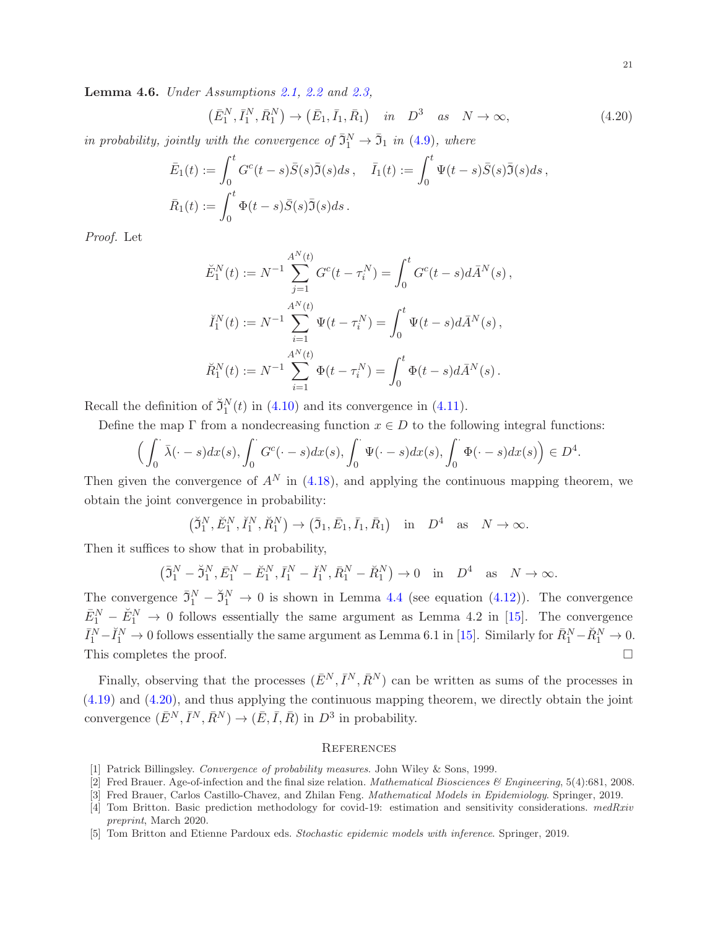Lemma 4.6. *Under Assumptions [2.1,](#page-4-0) [2.2](#page-5-1) and [2.3,](#page-5-2)*

<span id="page-20-5"></span>
$$
(\bar{E}_1^N, \bar{I}_1^N, \bar{R}_1^N) \to (\bar{E}_1, \bar{I}_1, \bar{R}_1) \quad in \quad D^3 \quad as \quad N \to \infty,
$$
\n(4.20)

*in probability, jointly with the convergence of*  $\bar{3}_1^N \rightarrow \bar{3}_1$  *in* [\(4.9\)](#page-15-2)*, where* 

$$
\bar{E}_1(t) := \int_0^t G^c(t-s)\bar{S}(s)\bar{\mathfrak{I}}(s)ds, \quad \bar{I}_1(t) := \int_0^t \Psi(t-s)\bar{S}(s)\bar{\mathfrak{I}}(s)ds,
$$
  

$$
\bar{R}_1(t) := \int_0^t \Phi(t-s)\bar{S}(s)\bar{\mathfrak{I}}(s)ds.
$$

*Proof.* Let

$$
\breve{E}_{1}^{N}(t) := N^{-1} \sum_{j=1}^{A^{N}(t)} G^{c}(t - \tau_{i}^{N}) = \int_{0}^{t} G^{c}(t - s) d\bar{A}^{N}(s),
$$

$$
\breve{I}_{1}^{N}(t) := N^{-1} \sum_{i=1}^{A^{N}(t)} \Psi(t - \tau_{i}^{N}) = \int_{0}^{t} \Psi(t - s) d\bar{A}^{N}(s),
$$

$$
\breve{R}_{1}^{N}(t) := N^{-1} \sum_{i=1}^{A^{N}(t)} \Phi(t - \tau_{i}^{N}) = \int_{0}^{t} \Phi(t - s) d\bar{A}^{N}(s).
$$

Recall the definition of  $\tilde{Z}_1^N(t)$  in [\(4.10\)](#page-15-3) and its convergence in [\(4.11\)](#page-15-4).

Define the map  $\Gamma$  from a nondecreasing function  $x \in D$  to the following integral functions:

$$
\left(\int_0^{\cdot} \bar{\lambda}(\cdot - s) dx(s), \int_0^{\cdot} G^c(\cdot - s) dx(s), \int_0^{\cdot} \Psi(\cdot - s) dx(s), \int_0^{\cdot} \Phi(\cdot - s) dx(s)\right) \in D^4.
$$

Then given the convergence of  $A^N$  in [\(4.18\)](#page-18-0), and applying the continuous mapping theorem, we obtain the joint convergence in probability:

$$
(\tilde{\mathfrak{I}}_1^N, \tilde{E}_1^N, \tilde{I}_1^N, \tilde{R}_1^N) \to (\bar{\mathfrak{I}}_1, \bar{E}_1, \bar{I}_1, \bar{R}_1) \text{ in } D^4 \text{ as } N \to \infty.
$$

Then it suffices to show that in probability,

$$
\left(\bar{\mathfrak{I}}_1^N - \breve{\mathfrak{I}}_1^N, \bar{E}_1^N - \breve{E}_1^N, \bar{I}_1^N - \breve{I}_1^N, \bar{R}_1^N - \breve{R}_1^N\right) \to 0 \quad \text{in} \quad D^4 \quad \text{as} \quad N \to \infty.
$$

The convergence  $\bar{3}_1^N - \tilde{3}_1^N \to 0$  is shown in Lemma [4.4](#page-15-1) (see equation [\(4.12\)](#page-15-5)). The convergence  $\bar{E}_1^N - \breve{E}_1^N \rightarrow 0$  follows essentially the same argument as Lemma 4.2 in [\[15\]](#page-21-0). The convergence  $\bar{I}_1^N - \check{I}_1^N \to 0$  follows essentially the same argument as Lemma 6.1 in [\[15\]](#page-21-0). Similarly for  $\bar{R}_1^N - \check{R}_1^N \to 0$ . This completes the proof.  $\Box$ 

Finally, observing that the processes  $(\bar{E}^N, \bar{I}^N, \bar{R}^N)$  can be written as sums of the processes in [\(4.19\)](#page-19-0) and [\(4.20\)](#page-20-5), and thus applying the continuous mapping theorem, we directly obtain the joint convergence  $(\bar{E}^N, \bar{I}^N, \bar{R}^N) \to (\bar{E}, \bar{I}, \bar{R})$  in  $D^3$  in probability.

#### **REFERENCES**

- <span id="page-20-4"></span><span id="page-20-1"></span>[1] Patrick Billingsley. *Convergence of probability measures*. John Wiley & Sons, 1999.
- <span id="page-20-2"></span>[2] Fred Brauer. Age-of-infection and the final size relation. *Mathematical Biosciences & Engineering*, 5(4):681, 2008.
- <span id="page-20-3"></span>[3] Fred Brauer, Carlos Castillo-Chavez, and Zhilan Feng. *Mathematical Models in Epidemiology*. Springer, 2019.
- [4] Tom Britton. Basic prediction methodology for covid-19: estimation and sensitivity considerations. *medRxiv preprint*, March 2020.
- <span id="page-20-0"></span>[5] Tom Britton and Etienne Pardoux eds. *Stochastic epidemic models with inference*. Springer, 2019.